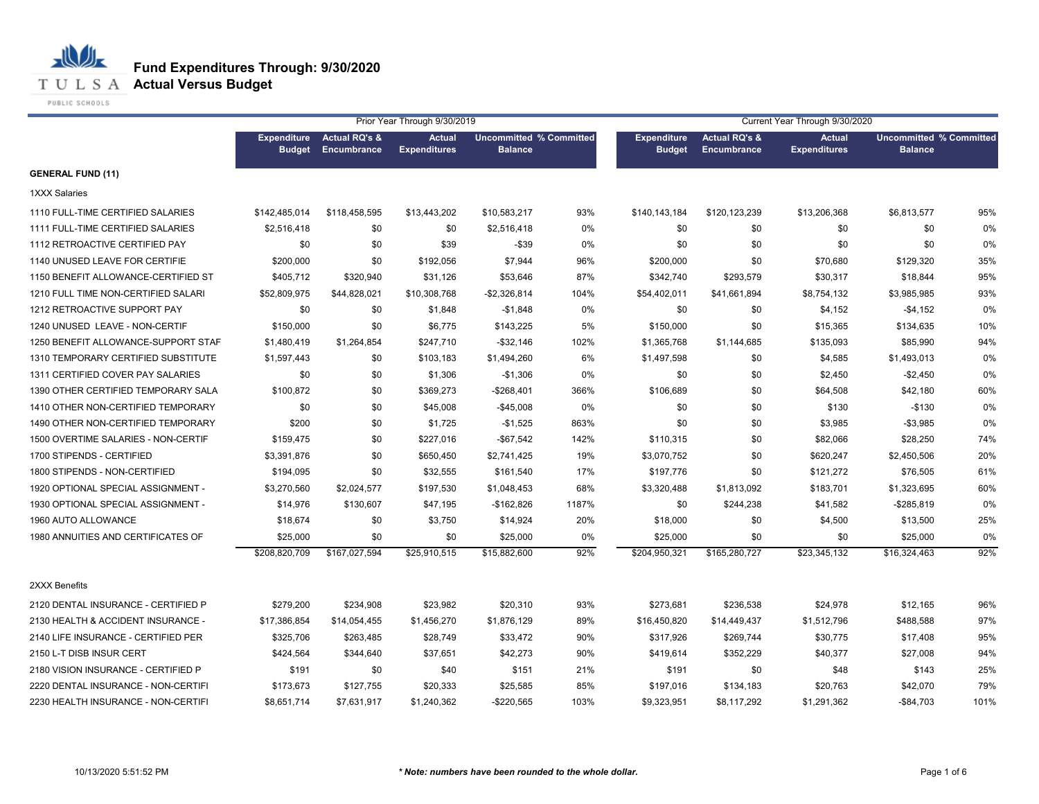**T U L S A Actual Versus Budget** 

PUBLIC SCHOOLS

|                                     |                                     |                                                | Prior Year Through 9/30/2019         |                                                  |       | Current Year Through 9/30/2020      |                                         |                                      |                                                  |      |  |
|-------------------------------------|-------------------------------------|------------------------------------------------|--------------------------------------|--------------------------------------------------|-------|-------------------------------------|-----------------------------------------|--------------------------------------|--------------------------------------------------|------|--|
|                                     | <b>Expenditure</b><br><b>Budget</b> | <b>Actual RQ's &amp;</b><br><b>Encumbrance</b> | <b>Actual</b><br><b>Expenditures</b> | <b>Uncommitted % Committed</b><br><b>Balance</b> |       | <b>Expenditure</b><br><b>Budget</b> | <b>Actual RQ's &amp;</b><br>Encumbrance | <b>Actual</b><br><b>Expenditures</b> | <b>Uncommitted % Committed</b><br><b>Balance</b> |      |  |
| <b>GENERAL FUND (11)</b>            |                                     |                                                |                                      |                                                  |       |                                     |                                         |                                      |                                                  |      |  |
| <b>1XXX Salaries</b>                |                                     |                                                |                                      |                                                  |       |                                     |                                         |                                      |                                                  |      |  |
| 1110 FULL-TIME CERTIFIED SALARIES   | \$142,485,014                       | \$118,458,595                                  | \$13,443,202                         | \$10,583,217                                     | 93%   | \$140,143,184                       | \$120,123,239                           | \$13,206,368                         | \$6,813,577                                      | 95%  |  |
| 1111 FULL-TIME CERTIFIED SALARIES   | \$2,516,418                         | \$0                                            | \$0                                  | \$2,516,418                                      | 0%    | \$0                                 | \$0                                     | \$0                                  | \$0                                              | 0%   |  |
| 1112 RETROACTIVE CERTIFIED PAY      | \$0                                 | \$0                                            | \$39                                 | $- $39$                                          | 0%    | \$0                                 | \$0                                     | \$0                                  | \$0                                              | 0%   |  |
| 1140 UNUSED LEAVE FOR CERTIFIE      | \$200,000                           | \$0                                            | \$192,056                            | \$7,944                                          | 96%   | \$200,000                           | \$0                                     | \$70,680                             | \$129,320                                        | 35%  |  |
| 1150 BENEFIT ALLOWANCE-CERTIFIED ST | \$405,712                           | \$320,940                                      | \$31,126                             | \$53,646                                         | 87%   | \$342,740                           | \$293,579                               | \$30,317                             | \$18,844                                         | 95%  |  |
| 1210 FULL TIME NON-CERTIFIED SALARI | \$52,809,975                        | \$44,828,021                                   | \$10,308,768                         | $-$2,326,814$                                    | 104%  | \$54,402,011                        | \$41,661,894                            | \$8,754,132                          | \$3,985,985                                      | 93%  |  |
| 1212 RETROACTIVE SUPPORT PAY        | \$0                                 | \$0                                            | \$1,848                              | $-$1,848$                                        | 0%    | \$0                                 | \$0                                     | \$4,152                              | $-$4,152$                                        | 0%   |  |
| 1240 UNUSED LEAVE - NON-CERTIF      | \$150,000                           | \$0                                            | \$6,775                              | \$143,225                                        | 5%    | \$150,000                           | \$0                                     | \$15,365                             | \$134,635                                        | 10%  |  |
| 1250 BENEFIT ALLOWANCE-SUPPORT STAF | \$1,480,419                         | \$1,264,854                                    | \$247,710                            | $-$32,146$                                       | 102%  | \$1,365,768                         | \$1,144,685                             | \$135,093                            | \$85,990                                         | 94%  |  |
| 1310 TEMPORARY CERTIFIED SUBSTITUTE | \$1,597,443                         | \$0                                            | \$103,183                            | \$1,494,260                                      | 6%    | \$1,497,598                         | \$0                                     | \$4,585                              | \$1,493,013                                      | 0%   |  |
| 1311 CERTIFIED COVER PAY SALARIES   | \$0                                 | \$0                                            | \$1,306                              | $-$1,306$                                        | 0%    | \$0                                 | \$0                                     | \$2,450                              | $-$2,450$                                        | 0%   |  |
| 1390 OTHER CERTIFIED TEMPORARY SALA | \$100,872                           | \$0                                            | \$369,273                            | $-$268,401$                                      | 366%  | \$106,689                           | \$0                                     | \$64,508                             | \$42,180                                         | 60%  |  |
| 1410 OTHER NON-CERTIFIED TEMPORARY  | \$0                                 | \$0                                            | \$45,008                             | $-$45,008$                                       | 0%    | \$0                                 | \$0                                     | \$130                                | $-$130$                                          | 0%   |  |
| 1490 OTHER NON-CERTIFIED TEMPORARY  | \$200                               | \$0                                            | \$1,725                              | $-$1,525$                                        | 863%  | \$0                                 | \$0                                     | \$3,985                              | $-$3,985$                                        | 0%   |  |
| 1500 OVERTIME SALARIES - NON-CERTIF | \$159,475                           | \$0                                            | \$227,016                            | $-$67,542$                                       | 142%  | \$110,315                           | \$0                                     | \$82,066                             | \$28,250                                         | 74%  |  |
| 1700 STIPENDS - CERTIFIED           | \$3,391,876                         | \$0                                            | \$650,450                            | \$2,741,425                                      | 19%   | \$3,070,752                         | \$0                                     | \$620,247                            | \$2,450,506                                      | 20%  |  |
| 1800 STIPENDS - NON-CERTIFIED       | \$194,095                           | \$0                                            | \$32,555                             | \$161,540                                        | 17%   | \$197,776                           | \$0                                     | \$121,272                            | \$76,505                                         | 61%  |  |
| 1920 OPTIONAL SPECIAL ASSIGNMENT -  | \$3,270,560                         | \$2,024,577                                    | \$197,530                            | \$1,048,453                                      | 68%   | \$3,320,488                         | \$1,813,092                             | \$183,701                            | \$1,323,695                                      | 60%  |  |
| 1930 OPTIONAL SPECIAL ASSIGNMENT -  | \$14,976                            | \$130,607                                      | \$47,195                             | $-$162,826$                                      | 1187% | \$0                                 | \$244,238                               | \$41,582                             | -\$285,819                                       | 0%   |  |
| 1960 AUTO ALLOWANCE                 | \$18,674                            | \$0                                            | \$3,750                              | \$14,924                                         | 20%   | \$18,000                            | \$0                                     | \$4,500                              | \$13,500                                         | 25%  |  |
| 1980 ANNUITIES AND CERTIFICATES OF  | \$25,000                            | \$0                                            | \$0                                  | \$25,000                                         | 0%    | \$25,000                            | \$0                                     | \$0                                  | \$25,000                                         | 0%   |  |
|                                     | \$208,820,709                       | \$167,027,594                                  | \$25,910,515                         | \$15,882,600                                     | 92%   | \$204,950,321                       | \$165,280,727                           | \$23,345,132                         | \$16,324,463                                     | 92%  |  |
| 2XXX Benefits                       |                                     |                                                |                                      |                                                  |       |                                     |                                         |                                      |                                                  |      |  |
| 2120 DENTAL INSURANCE - CERTIFIED P | \$279,200                           | \$234,908                                      | \$23,982                             | \$20,310                                         | 93%   | \$273,681                           | \$236,538                               | \$24,978                             | \$12,165                                         | 96%  |  |
| 2130 HEALTH & ACCIDENT INSURANCE -  | \$17,386,854                        | \$14,054,455                                   | \$1,456,270                          | \$1,876,129                                      | 89%   | \$16,450,820                        | \$14,449,437                            | \$1,512,796                          | \$488,588                                        | 97%  |  |
| 2140 LIFE INSURANCE - CERTIFIED PER | \$325,706                           | \$263,485                                      | \$28,749                             | \$33,472                                         | 90%   | \$317,926                           | \$269,744                               | \$30,775                             | \$17,408                                         | 95%  |  |
| 2150 L-T DISB INSUR CERT            | \$424,564                           | \$344,640                                      | \$37,651                             | \$42,273                                         | 90%   | \$419,614                           | \$352,229                               | \$40,377                             | \$27,008                                         | 94%  |  |
| 2180 VISION INSURANCE - CERTIFIED P | \$191                               | \$0                                            | \$40                                 | \$151                                            | 21%   | \$191                               | \$0                                     | \$48                                 | \$143                                            | 25%  |  |
| 2220 DENTAL INSURANCE - NON-CERTIFI | \$173,673                           | \$127,755                                      | \$20,333                             | \$25,585                                         | 85%   | \$197,016                           | \$134,183                               | \$20,763                             | \$42,070                                         | 79%  |  |
| 2230 HEALTH INSURANCE - NON-CERTIFI | \$8,651,714                         | \$7,631,917                                    | \$1,240,362                          | $-$220,565$                                      | 103%  | \$9,323,951                         | \$8,117,292                             | \$1,291,362                          | $-$ \$84,703                                     | 101% |  |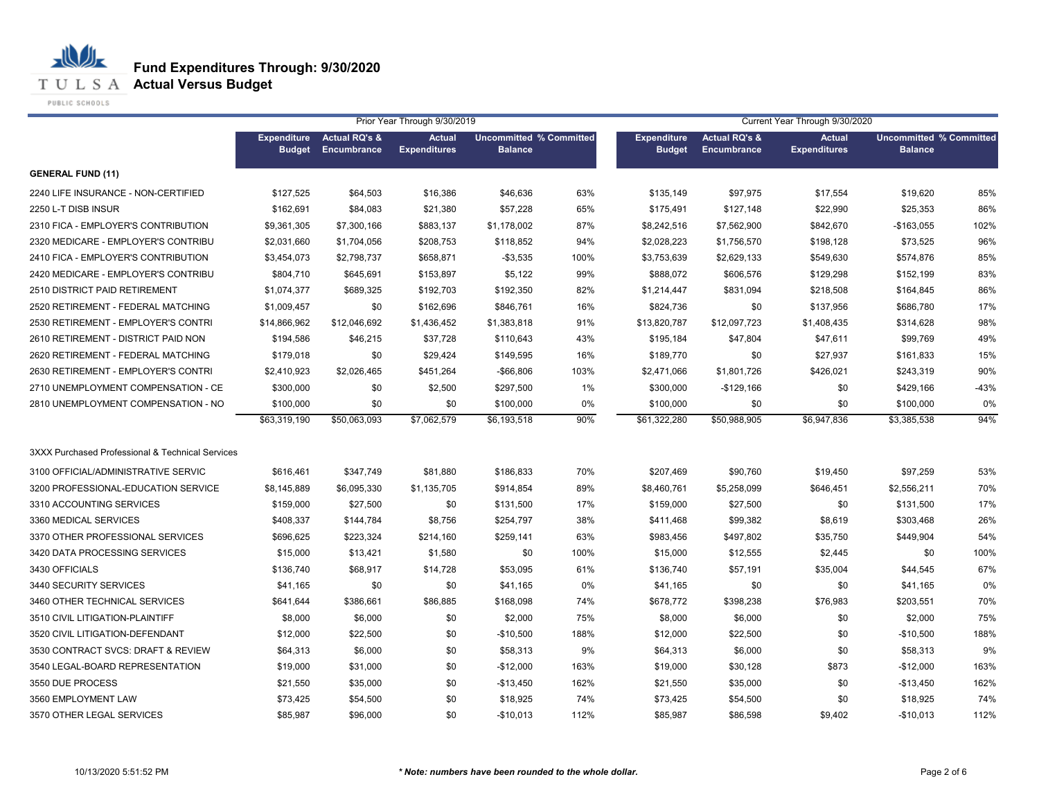**T U L S A Actual Versus Budget** 

PUBLIC SCHOOLS

|                                                  | Prior Year Through 9/30/2019        |                                         |                                      |                                                  |      | Current Year Through 9/30/2020      |                                         |                                      |                                                  |        |  |
|--------------------------------------------------|-------------------------------------|-----------------------------------------|--------------------------------------|--------------------------------------------------|------|-------------------------------------|-----------------------------------------|--------------------------------------|--------------------------------------------------|--------|--|
|                                                  | <b>Expenditure</b><br><b>Budget</b> | <b>Actual RQ's &amp;</b><br>Encumbrance | <b>Actual</b><br><b>Expenditures</b> | <b>Uncommitted % Committed</b><br><b>Balance</b> |      | <b>Expenditure</b><br><b>Budget</b> | <b>Actual RQ's &amp;</b><br>Encumbrance | <b>Actual</b><br><b>Expenditures</b> | <b>Uncommitted % Committed</b><br><b>Balance</b> |        |  |
| <b>GENERAL FUND (11)</b>                         |                                     |                                         |                                      |                                                  |      |                                     |                                         |                                      |                                                  |        |  |
| 2240 LIFE INSURANCE - NON-CERTIFIED              | \$127,525                           | \$64,503                                | \$16,386                             | \$46,636                                         | 63%  | \$135,149                           | \$97,975                                | \$17,554                             | \$19,620                                         | 85%    |  |
| 2250 L-T DISB INSUR                              | \$162,691                           | \$84,083                                | \$21,380                             | \$57,228                                         | 65%  | \$175,491                           | \$127,148                               | \$22,990                             | \$25,353                                         | 86%    |  |
| 2310 FICA - EMPLOYER'S CONTRIBUTION              | \$9,361,305                         | \$7,300,166                             | \$883,137                            | \$1,178,002                                      | 87%  | \$8,242,516                         | \$7,562,900                             | \$842,670                            | -\$163,055                                       | 102%   |  |
| 2320 MEDICARE - EMPLOYER'S CONTRIBU              | \$2,031,660                         | \$1,704,056                             | \$208,753                            | \$118,852                                        | 94%  | \$2,028,223                         | \$1,756,570                             | \$198,128                            | \$73,525                                         | 96%    |  |
| 2410 FICA - EMPLOYER'S CONTRIBUTION              | \$3,454,073                         | \$2,798,737                             | \$658,871                            | $-$3,535$                                        | 100% | \$3,753,639                         | \$2,629,133                             | \$549,630                            | \$574,876                                        | 85%    |  |
| 2420 MEDICARE - EMPLOYER'S CONTRIBU              | \$804,710                           | \$645,691                               | \$153,897                            | \$5,122                                          | 99%  | \$888,072                           | \$606,576                               | \$129,298                            | \$152,199                                        | 83%    |  |
| 2510 DISTRICT PAID RETIREMENT                    | \$1,074,377                         | \$689,325                               | \$192,703                            | \$192,350                                        | 82%  | \$1,214,447                         | \$831,094                               | \$218,508                            | \$164,845                                        | 86%    |  |
| 2520 RETIREMENT - FEDERAL MATCHING               | \$1,009,457                         | \$0                                     | \$162,696                            | \$846,761                                        | 16%  | \$824,736                           | \$0                                     | \$137,956                            | \$686,780                                        | 17%    |  |
| 2530 RETIREMENT - EMPLOYER'S CONTRI              | \$14,866,962                        | \$12,046,692                            | \$1,436,452                          | \$1,383,818                                      | 91%  | \$13,820,787                        | \$12,097,723                            | \$1,408,435                          | \$314,628                                        | 98%    |  |
| 2610 RETIREMENT - DISTRICT PAID NON              | \$194,586                           | \$46,215                                | \$37,728                             | \$110,643                                        | 43%  | \$195,184                           | \$47,804                                | \$47,611                             | \$99,769                                         | 49%    |  |
| 2620 RETIREMENT - FEDERAL MATCHING               | \$179,018                           | \$0                                     | \$29,424                             | \$149,595                                        | 16%  | \$189,770                           | \$0                                     | \$27,937                             | \$161,833                                        | 15%    |  |
| 2630 RETIREMENT - EMPLOYER'S CONTRI              | \$2,410,923                         | \$2,026,465                             | \$451,264                            | $-$66,806$                                       | 103% | \$2,471,066                         | \$1,801,726                             | \$426,021                            | \$243,319                                        | 90%    |  |
| 2710 UNEMPLOYMENT COMPENSATION - CE              | \$300,000                           | \$0                                     | \$2,500                              | \$297,500                                        | 1%   | \$300,000                           | $-$129,166$                             | \$0                                  | \$429,166                                        | $-43%$ |  |
| 2810 UNEMPLOYMENT COMPENSATION - NO              | \$100,000                           | \$0                                     | \$0                                  | \$100,000                                        | 0%   | \$100,000                           | \$0                                     | \$0                                  | \$100,000                                        | 0%     |  |
|                                                  | \$63,319,190                        | \$50,063,093                            | \$7,062,579                          | \$6,193,518                                      | 90%  | \$61,322,280                        | \$50,988,905                            | $\overline{6,947,836}$               | \$3,385,538                                      | 94%    |  |
| 3XXX Purchased Professional & Technical Services |                                     |                                         |                                      |                                                  |      |                                     |                                         |                                      |                                                  |        |  |
| 3100 OFFICIAL/ADMINISTRATIVE SERVIC              | \$616.461                           | \$347,749                               | \$81,880                             | \$186,833                                        | 70%  | \$207,469                           | \$90,760                                | \$19,450                             | \$97,259                                         | 53%    |  |
| 3200 PROFESSIONAL-EDUCATION SERVICE              | \$8,145,889                         | \$6,095,330                             | \$1,135,705                          | \$914,854                                        | 89%  | \$8,460,761                         | \$5,258,099                             | \$646,451                            | \$2,556,211                                      | 70%    |  |
| 3310 ACCOUNTING SERVICES                         | \$159,000                           | \$27,500                                | \$0                                  | \$131,500                                        | 17%  | \$159,000                           | \$27,500                                | \$0                                  | \$131,500                                        | 17%    |  |
| 3360 MEDICAL SERVICES                            | \$408,337                           | \$144,784                               | \$8,756                              | \$254,797                                        | 38%  | \$411,468                           | \$99,382                                | \$8,619                              | \$303,468                                        | 26%    |  |
| 3370 OTHER PROFESSIONAL SERVICES                 | \$696,625                           | \$223,324                               | \$214,160                            | \$259,141                                        | 63%  | \$983,456                           | \$497,802                               | \$35,750                             | \$449,904                                        | 54%    |  |
| 3420 DATA PROCESSING SERVICES                    | \$15,000                            | \$13,421                                | \$1,580                              | \$0                                              | 100% | \$15,000                            | \$12,555                                | \$2,445                              | \$0                                              | 100%   |  |
| 3430 OFFICIALS                                   | \$136,740                           | \$68,917                                | \$14,728                             | \$53,095                                         | 61%  | \$136,740                           | \$57,191                                | \$35,004                             | \$44,545                                         | 67%    |  |
| 3440 SECURITY SERVICES                           | \$41,165                            | \$0                                     | \$0                                  | \$41,165                                         | 0%   | \$41,165                            | \$0                                     | \$0                                  | \$41,165                                         | 0%     |  |
| 3460 OTHER TECHNICAL SERVICES                    | \$641,644                           | \$386,661                               | \$86,885                             | \$168,098                                        | 74%  | \$678,772                           | \$398,238                               | \$76,983                             | \$203,551                                        | 70%    |  |
| 3510 CIVIL LITIGATION-PLAINTIFF                  | \$8,000                             | \$6,000                                 | \$0                                  | \$2,000                                          | 75%  | \$8,000                             | \$6,000                                 | \$0                                  | \$2,000                                          | 75%    |  |
| 3520 CIVIL LITIGATION-DEFENDANT                  | \$12,000                            | \$22,500                                | \$0                                  | $-$10,500$                                       | 188% | \$12,000                            | \$22,500                                | \$0                                  | $-$10,500$                                       | 188%   |  |
| 3530 CONTRACT SVCS: DRAFT & REVIEW               | \$64,313                            | \$6,000                                 | \$0                                  | \$58,313                                         | 9%   | \$64,313                            | \$6,000                                 | \$0                                  | \$58,313                                         | 9%     |  |
| 3540 LEGAL-BOARD REPRESENTATION                  | \$19,000                            | \$31,000                                | \$0                                  | $-$12,000$                                       | 163% | \$19,000                            | \$30,128                                | \$873                                | $-$12,000$                                       | 163%   |  |
| 3550 DUE PROCESS                                 | \$21,550                            | \$35,000                                | \$0                                  | $-$13,450$                                       | 162% | \$21,550                            | \$35,000                                | \$0                                  | $-$13,450$                                       | 162%   |  |
| 3560 EMPLOYMENT LAW                              | \$73,425                            | \$54,500                                | \$0                                  | \$18,925                                         | 74%  | \$73,425                            | \$54,500                                | \$0                                  | \$18,925                                         | 74%    |  |
| 3570 OTHER LEGAL SERVICES                        | \$85,987                            | \$96,000                                | \$0                                  | $-$10,013$                                       | 112% | \$85,987                            | \$86,598                                | \$9,402                              | $-$10,013$                                       | 112%   |  |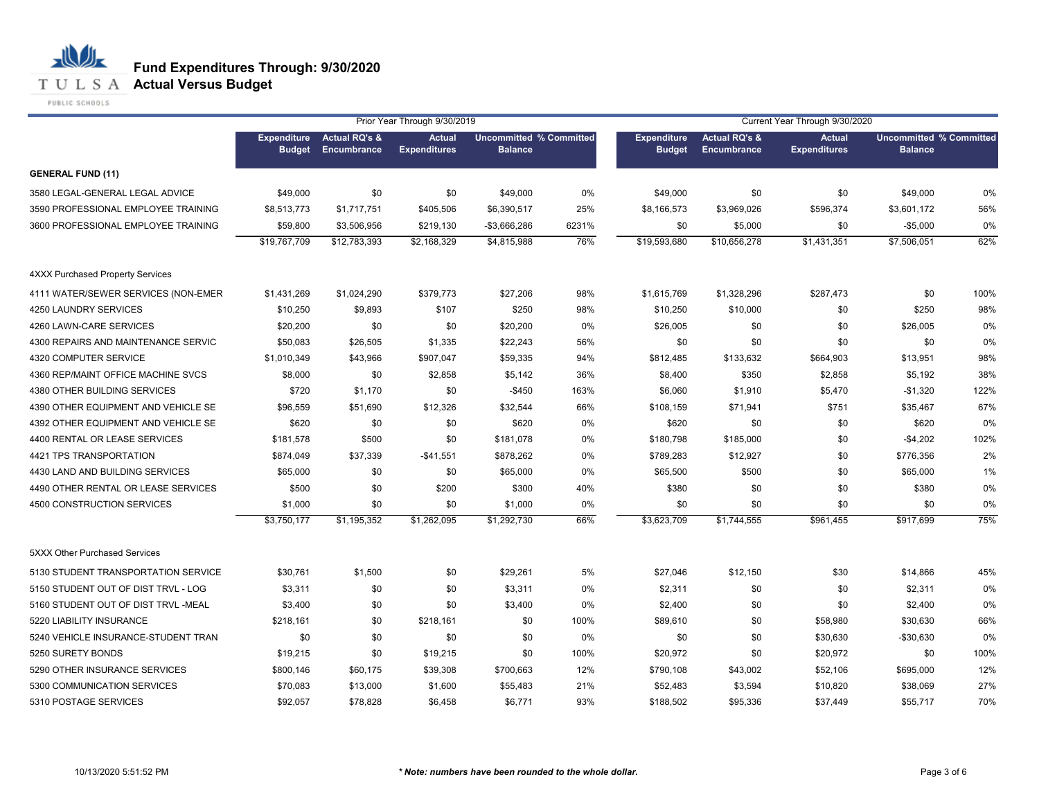## **T U L S A Actual Versus Budget**

PUBLIC SCHOOLS

|                                         |                                     |                                         | Prior Year Through 9/30/2019         |                                                  |       | Current Year Through 9/30/2020      |                                                |                                      |                                                  |      |
|-----------------------------------------|-------------------------------------|-----------------------------------------|--------------------------------------|--------------------------------------------------|-------|-------------------------------------|------------------------------------------------|--------------------------------------|--------------------------------------------------|------|
|                                         | <b>Expenditure</b><br><b>Budget</b> | <b>Actual RQ's &amp;</b><br>Encumbrance | <b>Actual</b><br><b>Expenditures</b> | <b>Uncommitted % Committed</b><br><b>Balance</b> |       | <b>Expenditure</b><br><b>Budget</b> | <b>Actual RQ's &amp;</b><br><b>Encumbrance</b> | <b>Actual</b><br><b>Expenditures</b> | <b>Uncommitted % Committed</b><br><b>Balance</b> |      |
| <b>GENERAL FUND (11)</b>                |                                     |                                         |                                      |                                                  |       |                                     |                                                |                                      |                                                  |      |
| 3580 LEGAL-GENERAL LEGAL ADVICE         | \$49,000                            | \$0                                     | \$0                                  | \$49,000                                         | 0%    | \$49,000                            | \$0                                            | \$0                                  | \$49,000                                         | 0%   |
| 3590 PROFESSIONAL EMPLOYEE TRAINING     | \$8,513,773                         | \$1,717,751                             | \$405,506                            | \$6,390,517                                      | 25%   | \$8,166,573                         | \$3,969,026                                    | \$596,374                            | \$3,601,172                                      | 56%  |
| 3600 PROFESSIONAL EMPLOYEE TRAINING     | \$59,800                            | \$3,506,956                             | \$219,130                            | $-$3,666,286$                                    | 6231% | \$0                                 | \$5,000                                        | \$0                                  | $-$5,000$                                        | 0%   |
|                                         | \$19,767,709                        | \$12,783,393                            | \$2,168,329                          | \$4,815,988                                      | 76%   | \$19,593,680                        | \$10,656,278                                   | \$1,431,351                          | \$7,506,051                                      | 62%  |
| <b>4XXX Purchased Property Services</b> |                                     |                                         |                                      |                                                  |       |                                     |                                                |                                      |                                                  |      |
| 4111 WATER/SEWER SERVICES (NON-EMER     | \$1,431,269                         | \$1,024,290                             | \$379,773                            | \$27,206                                         | 98%   | \$1,615,769                         | \$1,328,296                                    | \$287,473                            | \$0                                              | 100% |
| 4250 LAUNDRY SERVICES                   | \$10,250                            | \$9,893                                 | \$107                                | \$250                                            | 98%   | \$10,250                            | \$10,000                                       | \$0                                  | \$250                                            | 98%  |
| 4260 LAWN-CARE SERVICES                 | \$20,200                            | \$0                                     | \$0                                  | \$20,200                                         | 0%    | \$26,005                            | \$0                                            | \$0                                  | \$26,005                                         | 0%   |
| 4300 REPAIRS AND MAINTENANCE SERVIC     | \$50,083                            | \$26,505                                | \$1,335                              | \$22,243                                         | 56%   | \$0                                 | \$0                                            | \$0                                  | \$0                                              | 0%   |
| 4320 COMPUTER SERVICE                   | \$1,010,349                         | \$43,966                                | \$907,047                            | \$59,335                                         | 94%   | \$812,485                           | \$133,632                                      | \$664,903                            | \$13,951                                         | 98%  |
| 4360 REP/MAINT OFFICE MACHINE SVCS      | \$8,000                             | \$0                                     | \$2,858                              | \$5,142                                          | 36%   | \$8,400                             | \$350                                          | \$2,858                              | \$5,192                                          | 38%  |
| 4380 OTHER BUILDING SERVICES            | \$720                               | \$1,170                                 | \$0                                  | $-$450$                                          | 163%  | \$6,060                             | \$1,910                                        | \$5,470                              | $-$1,320$                                        | 122% |
| 4390 OTHER EQUIPMENT AND VEHICLE SE     | \$96,559                            | \$51,690                                | \$12,326                             | \$32,544                                         | 66%   | \$108,159                           | \$71,941                                       | \$751                                | \$35,467                                         | 67%  |
| 4392 OTHER EQUIPMENT AND VEHICLE SE     | \$620                               | \$0                                     | \$0                                  | \$620                                            | 0%    | \$620                               | \$0                                            | \$0                                  | \$620                                            | 0%   |
| 4400 RENTAL OR LEASE SERVICES           | \$181,578                           | \$500                                   | \$0                                  | \$181,078                                        | 0%    | \$180,798                           | \$185,000                                      | \$0                                  | $-$4,202$                                        | 102% |
| 4421 TPS TRANSPORTATION                 | \$874,049                           | \$37,339                                | $-$41,551$                           | \$878,262                                        | 0%    | \$789,283                           | \$12,927                                       | \$0                                  | \$776,356                                        | 2%   |
| 4430 LAND AND BUILDING SERVICES         | \$65,000                            | \$0                                     | \$0                                  | \$65,000                                         | 0%    | \$65,500                            | \$500                                          | \$0                                  | \$65,000                                         | 1%   |
| 4490 OTHER RENTAL OR LEASE SERVICES     | \$500                               | \$0                                     | \$200                                | \$300                                            | 40%   | \$380                               | \$0                                            | \$0                                  | \$380                                            | 0%   |
| 4500 CONSTRUCTION SERVICES              | \$1,000                             | \$0                                     | \$0                                  | \$1,000                                          | 0%    | \$0                                 | \$0                                            | \$0                                  | \$0                                              | 0%   |
|                                         | \$3,750,177                         | \$1,195,352                             | \$1,262,095                          | \$1,292,730                                      | 66%   | \$3,623,709                         | \$1,744,555                                    | \$961,455                            | \$917,699                                        | 75%  |
| 5XXX Other Purchased Services           |                                     |                                         |                                      |                                                  |       |                                     |                                                |                                      |                                                  |      |
| 5130 STUDENT TRANSPORTATION SERVICE     | \$30,761                            | \$1,500                                 | \$0                                  | \$29,261                                         | 5%    | \$27,046                            | \$12,150                                       | \$30                                 | \$14,866                                         | 45%  |
| 5150 STUDENT OUT OF DIST TRVL - LOG     | \$3,311                             | \$0                                     | \$0                                  | \$3,311                                          | 0%    | \$2,311                             | \$0                                            | \$0                                  | \$2,311                                          | 0%   |
| 5160 STUDENT OUT OF DIST TRVL -MEAL     | \$3,400                             | \$0                                     | \$0                                  | \$3,400                                          | 0%    | \$2,400                             | \$0                                            | \$0                                  | \$2,400                                          | 0%   |
| 5220 LIABILITY INSURANCE                | \$218,161                           | \$0                                     | \$218,161                            | \$0                                              | 100%  | \$89,610                            | \$0                                            | \$58,980                             | \$30,630                                         | 66%  |
| 5240 VEHICLE INSURANCE-STUDENT TRAN     | \$0                                 | \$0                                     | \$0                                  | \$0                                              | 0%    | \$0                                 | \$0                                            | \$30,630                             | -\$30,630                                        | 0%   |
| 5250 SURETY BONDS                       | \$19,215                            | \$0                                     | \$19,215                             | \$0                                              | 100%  | \$20,972                            | \$0                                            | \$20,972                             | \$0                                              | 100% |
| 5290 OTHER INSURANCE SERVICES           | \$800,146                           | \$60,175                                | \$39,308                             | \$700,663                                        | 12%   | \$790,108                           | \$43,002                                       | \$52,106                             | \$695,000                                        | 12%  |
| 5300 COMMUNICATION SERVICES             | \$70,083                            | \$13,000                                | \$1,600                              | \$55,483                                         | 21%   | \$52,483                            | \$3,594                                        | \$10,820                             | \$38,069                                         | 27%  |
| 5310 POSTAGE SERVICES                   | \$92,057                            | \$78,828                                | \$6,458                              | \$6,771                                          | 93%   | \$188,502                           | \$95,336                                       | \$37,449                             | \$55,717                                         | 70%  |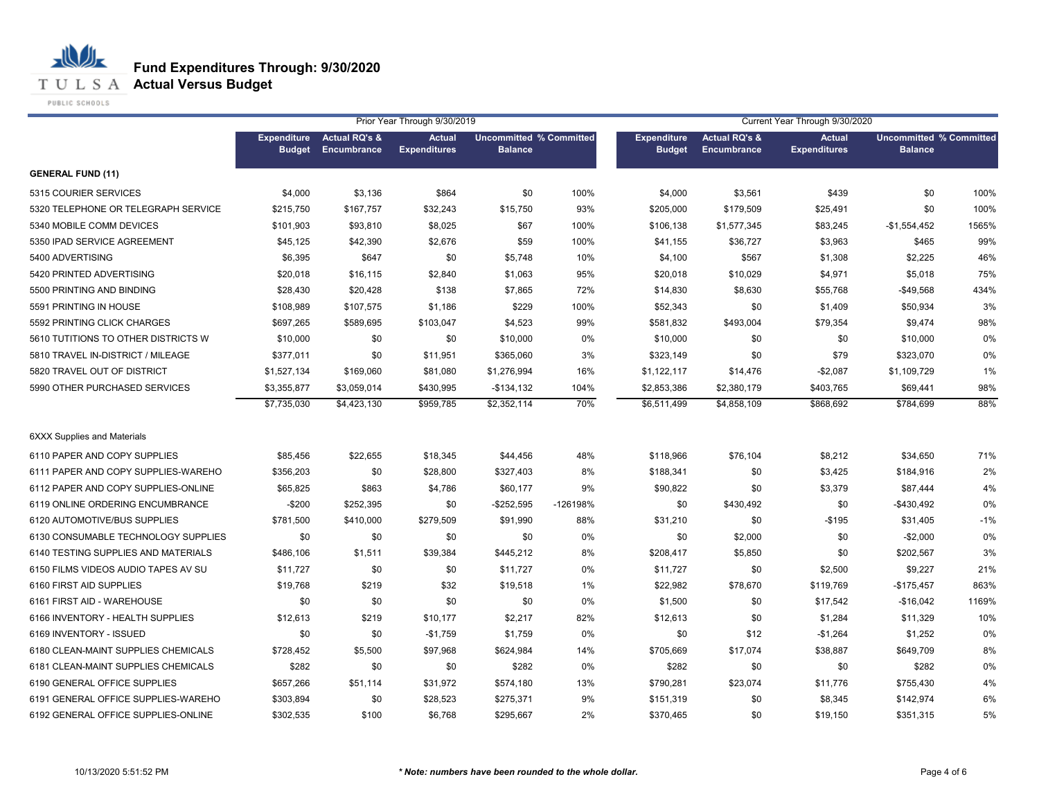**T U L S A Actual Versus Budget** 

PUBLIC SCHOOLS

|                                     | Prior Year Through 9/30/2019<br>Current Year Through 9/30/2020 |                                         |                                      |                                                  |          |                                     |                                                |                                      |                                                  |       |
|-------------------------------------|----------------------------------------------------------------|-----------------------------------------|--------------------------------------|--------------------------------------------------|----------|-------------------------------------|------------------------------------------------|--------------------------------------|--------------------------------------------------|-------|
|                                     | <b>Expenditure</b><br><b>Budget</b>                            | <b>Actual RQ's &amp;</b><br>Encumbrance | <b>Actual</b><br><b>Expenditures</b> | <b>Uncommitted % Committed</b><br><b>Balance</b> |          | <b>Expenditure</b><br><b>Budget</b> | <b>Actual RQ's &amp;</b><br><b>Encumbrance</b> | <b>Actual</b><br><b>Expenditures</b> | <b>Uncommitted % Committed</b><br><b>Balance</b> |       |
| <b>GENERAL FUND (11)</b>            |                                                                |                                         |                                      |                                                  |          |                                     |                                                |                                      |                                                  |       |
| 5315 COURIER SERVICES               | \$4,000                                                        | \$3,136                                 | \$864                                | \$0                                              | 100%     | \$4,000                             | \$3,561                                        | \$439                                | \$0                                              | 100%  |
| 5320 TELEPHONE OR TELEGRAPH SERVICE | \$215,750                                                      | \$167,757                               | \$32,243                             | \$15,750                                         | 93%      | \$205,000                           | \$179,509                                      | \$25,491                             | \$0                                              | 100%  |
| 5340 MOBILE COMM DEVICES            | \$101,903                                                      | \$93,810                                | \$8,025                              | \$67                                             | 100%     | \$106,138                           | \$1,577,345                                    | \$83,245                             | $-$1,554,452$                                    | 1565% |
| 5350 IPAD SERVICE AGREEMENT         | \$45,125                                                       | \$42,390                                | \$2,676                              | \$59                                             | 100%     | \$41,155                            | \$36,727                                       | \$3,963                              | \$465                                            | 99%   |
| 5400 ADVERTISING                    | \$6,395                                                        | \$647                                   | \$0                                  | \$5,748                                          | 10%      | \$4,100                             | \$567                                          | \$1,308                              | \$2,225                                          | 46%   |
| 5420 PRINTED ADVERTISING            | \$20,018                                                       | \$16,115                                | \$2,840                              | \$1,063                                          | 95%      | \$20,018                            | \$10,029                                       | \$4,971                              | \$5,018                                          | 75%   |
| 5500 PRINTING AND BINDING           | \$28,430                                                       | \$20,428                                | \$138                                | \$7,865                                          | 72%      | \$14,830                            | \$8,630                                        | \$55,768                             | $-$49,568$                                       | 434%  |
| 5591 PRINTING IN HOUSE              | \$108,989                                                      | \$107,575                               | \$1,186                              | \$229                                            | 100%     | \$52,343                            | \$0                                            | \$1,409                              | \$50,934                                         | 3%    |
| 5592 PRINTING CLICK CHARGES         | \$697,265                                                      | \$589,695                               | \$103,047                            | \$4,523                                          | 99%      | \$581,832                           | \$493,004                                      | \$79,354                             | \$9,474                                          | 98%   |
| 5610 TUTITIONS TO OTHER DISTRICTS W | \$10,000                                                       | \$0                                     | \$0                                  | \$10,000                                         | 0%       | \$10,000                            | \$0                                            | \$0                                  | \$10,000                                         | 0%    |
| 5810 TRAVEL IN-DISTRICT / MILEAGE   | \$377,011                                                      | \$0                                     | \$11,951                             | \$365,060                                        | 3%       | \$323,149                           | \$0                                            | \$79                                 | \$323,070                                        | 0%    |
| 5820 TRAVEL OUT OF DISTRICT         | \$1,527,134                                                    | \$169,060                               | \$81,080                             | \$1,276,994                                      | 16%      | \$1,122,117                         | \$14,476                                       | $-$2,087$                            | \$1,109,729                                      | 1%    |
| 5990 OTHER PURCHASED SERVICES       | \$3,355,877                                                    | \$3,059,014                             | \$430,995                            | $-$134,132$                                      | 104%     | \$2,853,386                         | \$2,380,179                                    | \$403,765                            | \$69,441                                         | 98%   |
|                                     | \$7,735,030                                                    | \$4,423,130                             | \$959,785                            | \$2,352,114                                      | 70%      | \$6,511,499                         | \$4,858,109                                    | \$868,692                            | \$784,699                                        | 88%   |
| <b>6XXX Supplies and Materials</b>  |                                                                |                                         |                                      |                                                  |          |                                     |                                                |                                      |                                                  |       |
| 6110 PAPER AND COPY SUPPLIES        | \$85,456                                                       | \$22,655                                | \$18,345                             | \$44,456                                         | 48%      | \$118,966                           | \$76,104                                       | \$8,212                              | \$34,650                                         | 71%   |
| 6111 PAPER AND COPY SUPPLIES-WAREHO | \$356,203                                                      | \$0                                     | \$28,800                             | \$327,403                                        | 8%       | \$188,341                           | \$0                                            | \$3,425                              | \$184,916                                        | 2%    |
| 6112 PAPER AND COPY SUPPLIES-ONLINE | \$65,825                                                       | \$863                                   | \$4,786                              | \$60,177                                         | 9%       | \$90,822                            | \$0                                            | \$3,379                              | \$87,444                                         | 4%    |
| 6119 ONLINE ORDERING ENCUMBRANCE    | $-$200$                                                        | \$252,395                               | \$0                                  | $-$252,595$                                      | -126198% | \$0                                 | \$430,492                                      | \$0                                  | $-$430,492$                                      | 0%    |
| 6120 AUTOMOTIVE/BUS SUPPLIES        | \$781,500                                                      | \$410,000                               | \$279,509                            | \$91,990                                         | 88%      | \$31,210                            | \$0                                            | $-$195$                              | \$31,405                                         | $-1%$ |
| 6130 CONSUMABLE TECHNOLOGY SUPPLIES | \$0                                                            | \$0                                     | \$0                                  | \$0                                              | 0%       | \$0                                 | \$2,000                                        | \$0                                  | $-$2,000$                                        | 0%    |
| 6140 TESTING SUPPLIES AND MATERIALS | \$486,106                                                      | \$1,511                                 | \$39,384                             | \$445,212                                        | 8%       | \$208,417                           | \$5,850                                        | \$0                                  | \$202,567                                        | 3%    |
| 6150 FILMS VIDEOS AUDIO TAPES AV SU | \$11,727                                                       | \$0                                     | \$0                                  | \$11,727                                         | 0%       | \$11,727                            | \$0                                            | \$2,500                              | \$9,227                                          | 21%   |
| 6160 FIRST AID SUPPLIES             | \$19,768                                                       | \$219                                   | \$32                                 | \$19,518                                         | 1%       | \$22,982                            | \$78,670                                       | \$119,769                            | $-$175,457$                                      | 863%  |
| 6161 FIRST AID - WAREHOUSE          | \$0                                                            | \$0                                     | \$0                                  | \$0                                              | 0%       | \$1,500                             | \$0                                            | \$17,542                             | $-$16,042$                                       | 1169% |
| 6166 INVENTORY - HEALTH SUPPLIES    | \$12,613                                                       | \$219                                   | \$10,177                             | \$2,217                                          | 82%      | \$12,613                            | \$0                                            | \$1,284                              | \$11,329                                         | 10%   |
| 6169 INVENTORY - ISSUED             | \$0                                                            | \$0                                     | $-$1,759$                            | \$1,759                                          | 0%       | \$0                                 | \$12                                           | $-$1,264$                            | \$1,252                                          | 0%    |
| 6180 CLEAN-MAINT SUPPLIES CHEMICALS | \$728,452                                                      | \$5,500                                 | \$97,968                             | \$624,984                                        | 14%      | \$705,669                           | \$17,074                                       | \$38,887                             | \$649,709                                        | 8%    |
| 6181 CLEAN-MAINT SUPPLIES CHEMICALS | \$282                                                          | \$0                                     | \$0                                  | \$282                                            | 0%       | \$282                               | \$0                                            | \$0                                  | \$282                                            | 0%    |
| 6190 GENERAL OFFICE SUPPLIES        | \$657,266                                                      | \$51,114                                | \$31,972                             | \$574,180                                        | 13%      | \$790,281                           | \$23,074                                       | \$11,776                             | \$755,430                                        | 4%    |
| 6191 GENERAL OFFICE SUPPLIES-WAREHO | \$303,894                                                      | \$0                                     | \$28,523                             | \$275,371                                        | 9%       | \$151,319                           | \$0                                            | \$8,345                              | \$142,974                                        | 6%    |
| 6192 GENERAL OFFICE SUPPLIES-ONLINE | \$302,535                                                      | \$100                                   | \$6,768                              | \$295,667                                        | 2%       | \$370,465                           | \$0                                            | \$19,150                             | \$351,315                                        | 5%    |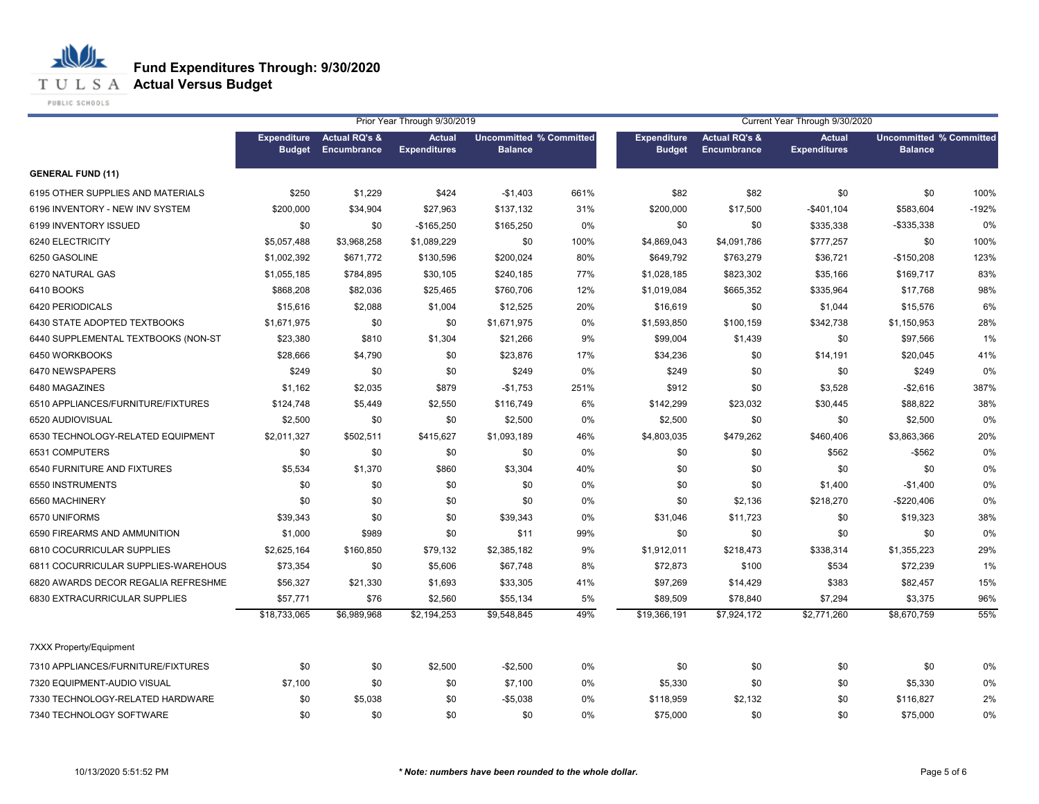**T U L S A Actual Versus Budget** 

PUBLIC SCHOOLS

|                                     | Prior Year Through 9/30/2019        |                                         |                                      |                                                  |      | Current Year Through 9/30/2020      |                                         |                                      |                                                  |         |
|-------------------------------------|-------------------------------------|-----------------------------------------|--------------------------------------|--------------------------------------------------|------|-------------------------------------|-----------------------------------------|--------------------------------------|--------------------------------------------------|---------|
|                                     | <b>Expenditure</b><br><b>Budget</b> | <b>Actual RQ's &amp;</b><br>Encumbrance | <b>Actual</b><br><b>Expenditures</b> | <b>Uncommitted % Committed</b><br><b>Balance</b> |      | <b>Expenditure</b><br><b>Budget</b> | <b>Actual RQ's &amp;</b><br>Encumbrance | <b>Actual</b><br><b>Expenditures</b> | <b>Uncommitted % Committed</b><br><b>Balance</b> |         |
| <b>GENERAL FUND (11)</b>            |                                     |                                         |                                      |                                                  |      |                                     |                                         |                                      |                                                  |         |
| 6195 OTHER SUPPLIES AND MATERIALS   | \$250                               | \$1,229                                 | \$424                                | $-$1,403$                                        | 661% | \$82                                | \$82                                    | \$0                                  | \$0                                              | 100%    |
| 6196 INVENTORY - NEW INV SYSTEM     | \$200.000                           | \$34,904                                | \$27,963                             | \$137,132                                        | 31%  | \$200,000                           | \$17,500                                | $-$401,104$                          | \$583,604                                        | $-192%$ |
| 6199 INVENTORY ISSUED               | \$0                                 | \$0                                     | $-$165,250$                          | \$165,250                                        | 0%   | \$0                                 | \$0                                     | \$335,338                            | -\$335,338                                       | 0%      |
| 6240 ELECTRICITY                    | \$5,057,488                         | \$3,968,258                             | \$1,089,229                          | \$0                                              | 100% | \$4,869,043                         | \$4,091,786                             | \$777,257                            | \$0                                              | 100%    |
| 6250 GASOLINE                       | \$1,002,392                         | \$671,772                               | \$130,596                            | \$200,024                                        | 80%  | \$649,792                           | \$763,279                               | \$36,721                             | $-$150,208$                                      | 123%    |
| 6270 NATURAL GAS                    | \$1,055,185                         | \$784,895                               | \$30,105                             | \$240,185                                        | 77%  | \$1,028,185                         | \$823,302                               | \$35,166                             | \$169,717                                        | 83%     |
| 6410 BOOKS                          | \$868,208                           | \$82,036                                | \$25,465                             | \$760,706                                        | 12%  | \$1,019,084                         | \$665,352                               | \$335,964                            | \$17,768                                         | 98%     |
| 6420 PERIODICALS                    | \$15,616                            | \$2,088                                 | \$1,004                              | \$12,525                                         | 20%  | \$16,619                            | \$0                                     | \$1,044                              | \$15,576                                         | 6%      |
| 6430 STATE ADOPTED TEXTBOOKS        | \$1,671,975                         | \$0                                     | \$0                                  | \$1,671,975                                      | 0%   | \$1,593,850                         | \$100,159                               | \$342,738                            | \$1,150,953                                      | 28%     |
| 6440 SUPPLEMENTAL TEXTBOOKS (NON-ST | \$23,380                            | \$810                                   | \$1,304                              | \$21,266                                         | 9%   | \$99,004                            | \$1,439                                 | \$0                                  | \$97,566                                         | 1%      |
| 6450 WORKBOOKS                      | \$28,666                            | \$4,790                                 | \$0                                  | \$23,876                                         | 17%  | \$34,236                            | \$0                                     | \$14,191                             | \$20,045                                         | 41%     |
| 6470 NEWSPAPERS                     | \$249                               | \$0                                     | \$0                                  | \$249                                            | 0%   | \$249                               | \$0                                     | \$0                                  | \$249                                            | 0%      |
| 6480 MAGAZINES                      | \$1,162                             | \$2,035                                 | \$879                                | $-$1,753$                                        | 251% | \$912                               | \$0                                     | \$3,528                              | $-$2,616$                                        | 387%    |
| 6510 APPLIANCES/FURNITURE/FIXTURES  | \$124,748                           | \$5,449                                 | \$2,550                              | \$116,749                                        | 6%   | \$142,299                           | \$23,032                                | \$30,445                             | \$88,822                                         | 38%     |
| 6520 AUDIOVISUAL                    | \$2,500                             | \$0                                     | \$0                                  | \$2,500                                          | 0%   | \$2,500                             | \$0                                     | \$0                                  | \$2,500                                          | 0%      |
| 6530 TECHNOLOGY-RELATED EQUIPMENT   | \$2,011,327                         | \$502,511                               | \$415,627                            | \$1,093,189                                      | 46%  | \$4,803,035                         | \$479,262                               | \$460,406                            | \$3,863,366                                      | 20%     |
| 6531 COMPUTERS                      | \$0                                 | \$0                                     | \$0                                  | \$0                                              | 0%   | \$0                                 | \$0                                     | \$562                                | $-$ \$562                                        | 0%      |
| 6540 FURNITURE AND FIXTURES         | \$5,534                             | \$1,370                                 | \$860                                | \$3,304                                          | 40%  | \$0                                 | \$0                                     | \$0                                  | \$0                                              | 0%      |
| 6550 INSTRUMENTS                    | \$0                                 | \$0                                     | \$0                                  | \$0                                              | 0%   | \$0                                 | \$0                                     | \$1,400                              | $-$1,400$                                        | 0%      |
| 6560 MACHINERY                      | \$0                                 | \$0                                     | \$0                                  | \$0                                              | 0%   | \$0                                 | \$2,136                                 | \$218,270                            | $-$220,406$                                      | 0%      |
| 6570 UNIFORMS                       | \$39,343                            | \$0                                     | \$0                                  | \$39,343                                         | 0%   | \$31,046                            | \$11,723                                | \$0                                  | \$19,323                                         | 38%     |
| 6590 FIREARMS AND AMMUNITION        | \$1,000                             | \$989                                   | \$0                                  | \$11                                             | 99%  | \$0                                 | \$0                                     | \$0                                  | \$0                                              | 0%      |
| 6810 COCURRICULAR SUPPLIES          | \$2,625,164                         | \$160,850                               | \$79,132                             | \$2,385,182                                      | 9%   | \$1,912,011                         | \$218,473                               | \$338,314                            | \$1,355,223                                      | 29%     |
| 6811 COCURRICULAR SUPPLIES-WAREHOUS | \$73,354                            | \$0                                     | \$5,606                              | \$67,748                                         | 8%   | \$72,873                            | \$100                                   | \$534                                | \$72,239                                         | 1%      |
| 6820 AWARDS DECOR REGALIA REFRESHME | \$56,327                            | \$21,330                                | \$1,693                              | \$33,305                                         | 41%  | \$97,269                            | \$14,429                                | \$383                                | \$82,457                                         | 15%     |
| 6830 EXTRACURRICULAR SUPPLIES       | \$57,771                            | \$76                                    | \$2,560                              | \$55,134                                         | 5%   | \$89,509                            | \$78,840                                | \$7,294                              | \$3,375                                          | 96%     |
|                                     | \$18,733,065                        | \$6,989,968                             | \$2,194,253                          | \$9,548,845                                      | 49%  | \$19,366,191                        | \$7,924,172                             | \$2,771,260                          | \$8,670,759                                      | 55%     |
| <b>7XXX Property/Equipment</b>      |                                     |                                         |                                      |                                                  |      |                                     |                                         |                                      |                                                  |         |
| 7310 APPLIANCES/FURNITURE/FIXTURES  | \$0                                 | \$0                                     | \$2,500                              | $-$2,500$                                        | 0%   | \$0                                 | \$0                                     | \$0                                  | \$0                                              | 0%      |
| 7320 EQUIPMENT-AUDIO VISUAL         | \$7,100                             | \$0                                     | \$0                                  | \$7,100                                          | 0%   | \$5,330                             | \$0                                     | \$0                                  | \$5,330                                          | 0%      |
| 7330 TECHNOLOGY-RELATED HARDWARE    | \$0                                 | \$5,038                                 | \$0                                  | $-$5,038$                                        | 0%   | \$118,959                           | \$2,132                                 | \$0                                  | \$116,827                                        | 2%      |
| 7340 TECHNOLOGY SOFTWARE            | \$0                                 | \$0                                     | \$0                                  | \$0                                              | 0%   | \$75,000                            | \$0                                     | \$0                                  | \$75,000                                         | 0%      |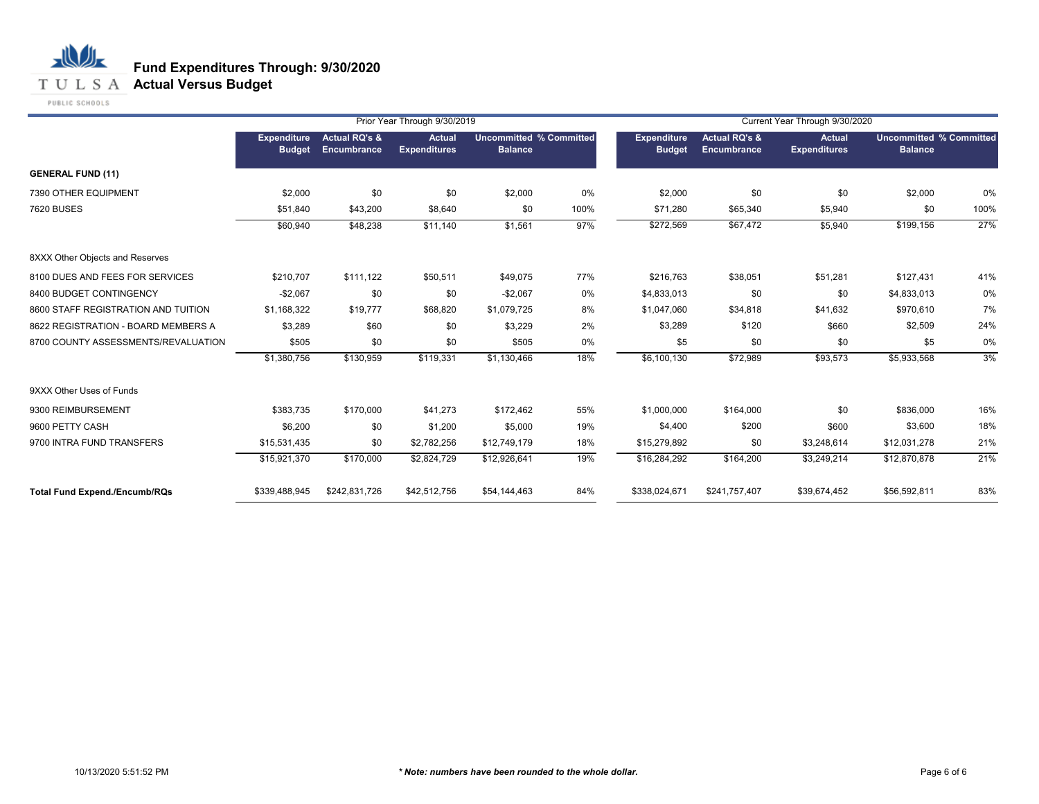## **T U L S A Actual Versus Budget**

PUBLIC SCHOOLS

|                                      |                                     |                                         | Prior Year Through 9/30/2019         |                                                  |      | Current Year Through 9/30/2020      |                                         |                               |                                                  |      |  |
|--------------------------------------|-------------------------------------|-----------------------------------------|--------------------------------------|--------------------------------------------------|------|-------------------------------------|-----------------------------------------|-------------------------------|--------------------------------------------------|------|--|
|                                      | <b>Expenditure</b><br><b>Budget</b> | <b>Actual RQ's &amp;</b><br>Encumbrance | <b>Actual</b><br><b>Expenditures</b> | <b>Uncommitted % Committed</b><br><b>Balance</b> |      | <b>Expenditure</b><br><b>Budget</b> | <b>Actual RQ's &amp;</b><br>Encumbrance | Actual<br><b>Expenditures</b> | <b>Uncommitted % Committed</b><br><b>Balance</b> |      |  |
| <b>GENERAL FUND (11)</b>             |                                     |                                         |                                      |                                                  |      |                                     |                                         |                               |                                                  |      |  |
| 7390 OTHER EQUIPMENT                 | \$2,000                             | \$0                                     | \$0                                  | \$2,000                                          | 0%   | \$2,000                             | \$0                                     | \$0                           | \$2,000                                          | 0%   |  |
| <b>7620 BUSES</b>                    | \$51,840                            | \$43,200                                | \$8,640                              | \$0                                              | 100% | \$71,280                            | \$65,340                                | \$5,940                       | \$0                                              | 100% |  |
|                                      | \$60,940                            | \$48,238                                | \$11,140                             | \$1,561                                          | 97%  | \$272,569                           | \$67,472                                | \$5,940                       | \$199,156                                        | 27%  |  |
| 8XXX Other Objects and Reserves      |                                     |                                         |                                      |                                                  |      |                                     |                                         |                               |                                                  |      |  |
| 8100 DUES AND FEES FOR SERVICES      | \$210,707                           | \$111,122                               | \$50,511                             | \$49,075                                         | 77%  | \$216,763                           | \$38,051                                | \$51,281                      | \$127,431                                        | 41%  |  |
| 8400 BUDGET CONTINGENCY              | $-$2,067$                           | \$0                                     | \$0                                  | $-$2,067$                                        | 0%   | \$4,833,013                         | \$0                                     | \$0                           | \$4,833,013                                      | 0%   |  |
| 8600 STAFF REGISTRATION AND TUITION  | \$1,168,322                         | \$19,777                                | \$68,820                             | \$1,079,725                                      | 8%   | \$1,047,060                         | \$34,818                                | \$41,632                      | \$970,610                                        | 7%   |  |
| 8622 REGISTRATION - BOARD MEMBERS A  | \$3,289                             | \$60                                    | \$0                                  | \$3,229                                          | 2%   | \$3,289                             | \$120                                   | \$660                         | \$2,509                                          | 24%  |  |
| 8700 COUNTY ASSESSMENTS/REVALUATION  | \$505                               | \$0                                     | \$0                                  | \$505                                            | 0%   | \$5                                 | \$0                                     | \$0                           | \$5                                              | 0%   |  |
|                                      | \$1,380,756                         | \$130,959                               | \$119,331                            | \$1,130,466                                      | 18%  | \$6,100,130                         | \$72,989                                | \$93,573                      | \$5,933,568                                      | 3%   |  |
| 9XXX Other Uses of Funds             |                                     |                                         |                                      |                                                  |      |                                     |                                         |                               |                                                  |      |  |
| 9300 REIMBURSEMENT                   | \$383,735                           | \$170,000                               | \$41,273                             | \$172,462                                        | 55%  | \$1,000,000                         | \$164,000                               | \$0                           | \$836,000                                        | 16%  |  |
| 9600 PETTY CASH                      | \$6,200                             | \$0                                     | \$1,200                              | \$5,000                                          | 19%  | \$4,400                             | \$200                                   | \$600                         | \$3,600                                          | 18%  |  |
| 9700 INTRA FUND TRANSFERS            | \$15,531,435                        | \$0                                     | \$2,782,256                          | \$12,749,179                                     | 18%  | \$15,279,892                        | \$0                                     | \$3,248,614                   | \$12,031,278                                     | 21%  |  |
|                                      | \$15,921,370                        | \$170,000                               | \$2,824,729                          | \$12,926,641                                     | 19%  | \$16,284,292                        | \$164,200                               | \$3,249,214                   | \$12,870,878                                     | 21%  |  |
| <b>Total Fund Expend./Encumb/RQs</b> | \$339,488,945                       | \$242,831,726                           | \$42,512,756                         | \$54,144,463                                     | 84%  | \$338,024,671                       | \$241,757,407                           | \$39,674,452                  | \$56,592,811                                     | 83%  |  |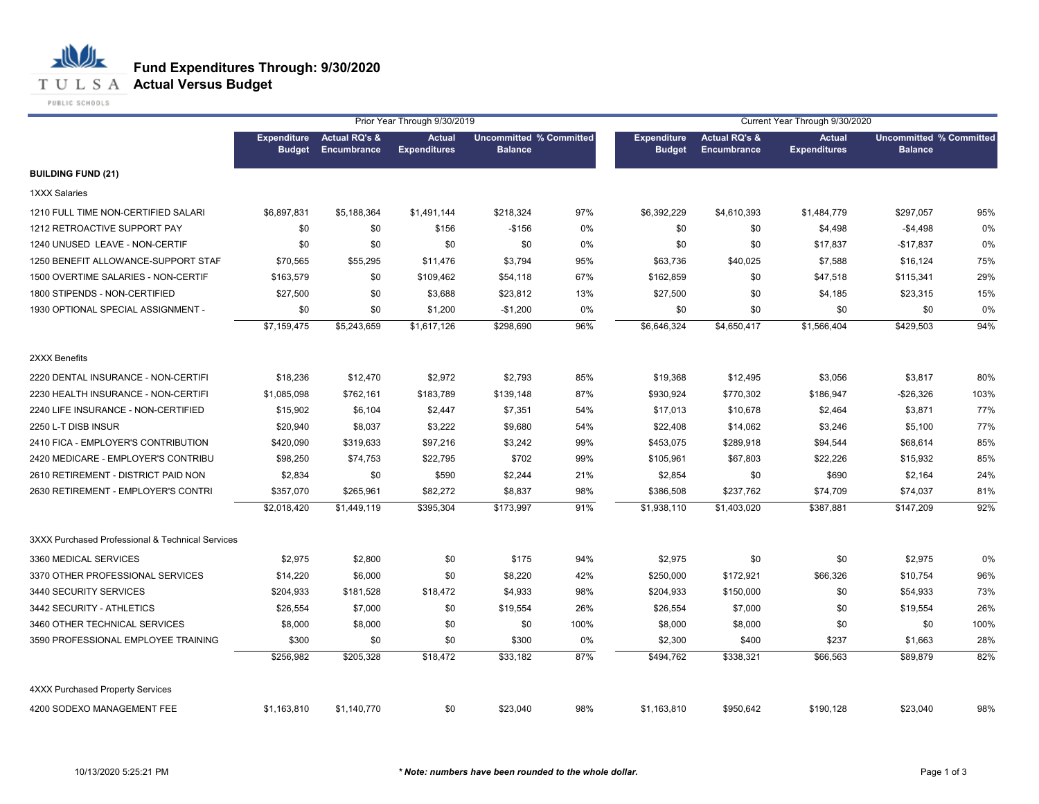## **T U L S A Actual Versus Budget**

PUBLIC SCHOOLS

|                                                  |                              |                                         | Prior Year Through 9/30/2019         |                                                  |       |                                     |                                         | Current Year Through 9/30/2020       |                                                  |      |
|--------------------------------------------------|------------------------------|-----------------------------------------|--------------------------------------|--------------------------------------------------|-------|-------------------------------------|-----------------------------------------|--------------------------------------|--------------------------------------------------|------|
|                                                  | <b>Expenditure</b><br>Budget | <b>Actual RQ's &amp;</b><br>Encumbrance | <b>Actual</b><br><b>Expenditures</b> | <b>Uncommitted % Committed</b><br><b>Balance</b> |       | <b>Expenditure</b><br><b>Budget</b> | <b>Actual RQ's &amp;</b><br>Encumbrance | <b>Actual</b><br><b>Expenditures</b> | <b>Uncommitted % Committed</b><br><b>Balance</b> |      |
| <b>BUILDING FUND (21)</b>                        |                              |                                         |                                      |                                                  |       |                                     |                                         |                                      |                                                  |      |
| 1XXX Salaries                                    |                              |                                         |                                      |                                                  |       |                                     |                                         |                                      |                                                  |      |
| 1210 FULL TIME NON-CERTIFIED SALARI              | \$6,897,831                  | \$5,188,364                             | \$1,491,144                          | \$218,324                                        | 97%   | \$6,392,229                         | \$4,610,393                             | \$1,484,779                          | \$297,057                                        | 95%  |
| 1212 RETROACTIVE SUPPORT PAY                     | \$0                          | \$0                                     | \$156                                | $-$156$                                          | $0\%$ | \$0                                 | \$0                                     | \$4,498                              | $-$4,498$                                        | 0%   |
| 1240 UNUSED LEAVE - NON-CERTIF                   | \$0                          | \$0                                     | \$0                                  | \$0                                              | 0%    | \$0                                 | \$0                                     | \$17,837                             | $-$17,837$                                       | 0%   |
| 1250 BENEFIT ALLOWANCE-SUPPORT STAF              | \$70,565                     | \$55,295                                | \$11,476                             | \$3,794                                          | 95%   | \$63,736                            | \$40,025                                | \$7,588                              | \$16,124                                         | 75%  |
| 1500 OVERTIME SALARIES - NON-CERTIF              | \$163,579                    | \$0                                     | \$109,462                            | \$54,118                                         | 67%   | \$162,859                           | \$0                                     | \$47,518                             | \$115,341                                        | 29%  |
| 1800 STIPENDS - NON-CERTIFIED                    | \$27,500                     | \$0                                     | \$3,688                              | \$23,812                                         | 13%   | \$27,500                            | \$0                                     | \$4,185                              | \$23,315                                         | 15%  |
| 1930 OPTIONAL SPECIAL ASSIGNMENT -               | \$0                          | \$0                                     | \$1,200                              | $-$1,200$                                        | 0%    | \$0                                 | \$0                                     | \$0                                  | \$0                                              | 0%   |
|                                                  | \$7,159,475                  | \$5,243,659                             | \$1,617,126                          | \$298,690                                        | 96%   | \$6,646,324                         | \$4,650,417                             | \$1,566,404                          | \$429,503                                        | 94%  |
| 2XXX Benefits                                    |                              |                                         |                                      |                                                  |       |                                     |                                         |                                      |                                                  |      |
| 2220 DENTAL INSURANCE - NON-CERTIFI              | \$18,236                     | \$12,470                                | \$2,972                              | \$2,793                                          | 85%   | \$19,368                            | \$12,495                                | \$3,056                              | \$3,817                                          | 80%  |
| 2230 HEALTH INSURANCE - NON-CERTIFI              | \$1,085,098                  | \$762,161                               | \$183,789                            | \$139,148                                        | 87%   | \$930,924                           | \$770,302                               | \$186,947                            | $-$26,326$                                       | 103% |
| 2240 LIFE INSURANCE - NON-CERTIFIED              | \$15,902                     | \$6,104                                 | \$2,447                              | \$7,351                                          | 54%   | \$17,013                            | \$10,678                                | \$2,464                              | \$3,871                                          | 77%  |
| 2250 L-T DISB INSUR                              | \$20,940                     | \$8,037                                 | \$3,222                              | \$9,680                                          | 54%   | \$22,408                            | \$14,062                                | \$3,246                              | \$5,100                                          | 77%  |
| 2410 FICA - EMPLOYER'S CONTRIBUTION              | \$420,090                    | \$319,633                               | \$97,216                             | \$3,242                                          | 99%   | \$453,075                           | \$289,918                               | \$94,544                             | \$68,614                                         | 85%  |
| 2420 MEDICARE - EMPLOYER'S CONTRIBU              | \$98,250                     | \$74,753                                | \$22,795                             | \$702                                            | 99%   | \$105,961                           | \$67,803                                | \$22,226                             | \$15,932                                         | 85%  |
| 2610 RETIREMENT - DISTRICT PAID NON              | \$2,834                      | \$0                                     | \$590                                | \$2,244                                          | 21%   | \$2,854                             | \$0                                     | \$690                                | \$2,164                                          | 24%  |
| 2630 RETIREMENT - EMPLOYER'S CONTRI              | \$357,070                    | \$265,961                               | \$82,272                             | \$8,837                                          | 98%   | \$386,508                           | \$237,762                               | \$74,709                             | \$74,037                                         | 81%  |
|                                                  | \$2,018,420                  | \$1,449,119                             | \$395,304                            | \$173,997                                        | 91%   | \$1,938,110                         | \$1,403,020                             | \$387,881                            | \$147,209                                        | 92%  |
| 3XXX Purchased Professional & Technical Services |                              |                                         |                                      |                                                  |       |                                     |                                         |                                      |                                                  |      |
| 3360 MEDICAL SERVICES                            | \$2,975                      | \$2,800                                 | \$0                                  | \$175                                            | 94%   | \$2,975                             | \$0                                     | \$0                                  | \$2,975                                          | 0%   |
| 3370 OTHER PROFESSIONAL SERVICES                 | \$14,220                     | \$6,000                                 | \$0                                  | \$8,220                                          | 42%   | \$250,000                           | \$172,921                               | \$66,326                             | \$10,754                                         | 96%  |
| 3440 SECURITY SERVICES                           | \$204,933                    | \$181,528                               | \$18,472                             | \$4,933                                          | 98%   | \$204,933                           | \$150,000                               | \$0                                  | \$54,933                                         | 73%  |
| 3442 SECURITY - ATHLETICS                        | \$26,554                     | \$7,000                                 | \$0                                  | \$19,554                                         | 26%   | \$26,554                            | \$7,000                                 | \$0                                  | \$19,554                                         | 26%  |
| 3460 OTHER TECHNICAL SERVICES                    | \$8,000                      | \$8,000                                 | \$0                                  | \$0                                              | 100%  | \$8,000                             | \$8,000                                 | \$0                                  | \$0                                              | 100% |
| 3590 PROFESSIONAL EMPLOYEE TRAINING              | \$300                        | \$0                                     | \$0                                  | \$300                                            | 0%    | \$2,300                             | \$400                                   | \$237                                | \$1,663                                          | 28%  |
|                                                  | \$256,982                    | \$205,328                               | \$18,472                             | \$33,182                                         | 87%   | \$494,762                           | \$338,321                               | \$66,563                             | \$89,879                                         | 82%  |
| 4XXX Purchased Property Services                 |                              |                                         |                                      |                                                  |       |                                     |                                         |                                      |                                                  |      |
| 4200 SODEXO MANAGEMENT FEE                       | \$1,163,810                  | \$1,140,770                             | \$0                                  | \$23,040                                         | 98%   | \$1,163,810                         | \$950,642                               | \$190,128                            | \$23,040                                         | 98%  |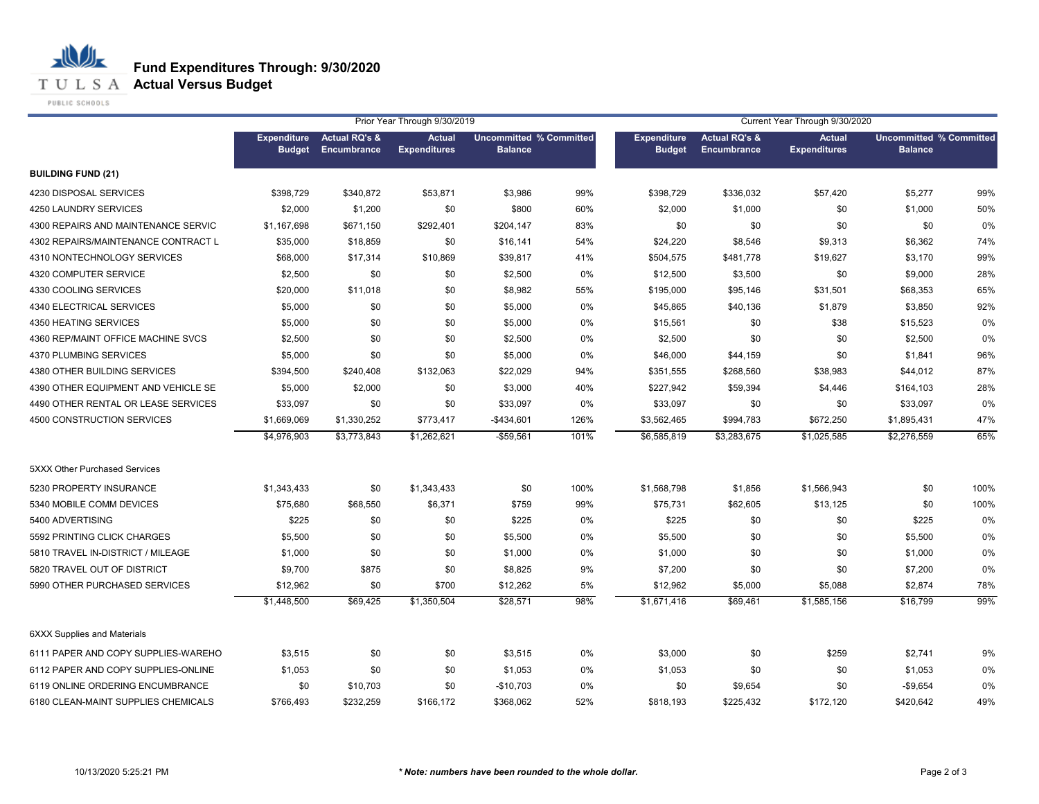**T U L S A Actual Versus Budget** 

PUBLIC SCHOOLS

|                                      | Prior Year Through 9/30/2019        |                                         |                                      |                                                  |      |                                     |                                         | Current Year Through 9/30/2020       |                                                  |      |
|--------------------------------------|-------------------------------------|-----------------------------------------|--------------------------------------|--------------------------------------------------|------|-------------------------------------|-----------------------------------------|--------------------------------------|--------------------------------------------------|------|
|                                      | <b>Expenditure</b><br><b>Budget</b> | <b>Actual RQ's &amp;</b><br>Encumbrance | <b>Actual</b><br><b>Expenditures</b> | <b>Uncommitted % Committed</b><br><b>Balance</b> |      | <b>Expenditure</b><br><b>Budget</b> | <b>Actual RQ's &amp;</b><br>Encumbrance | <b>Actual</b><br><b>Expenditures</b> | <b>Uncommitted % Committed</b><br><b>Balance</b> |      |
| <b>BUILDING FUND (21)</b>            |                                     |                                         |                                      |                                                  |      |                                     |                                         |                                      |                                                  |      |
| 4230 DISPOSAL SERVICES               | \$398,729                           | \$340,872                               | \$53,871                             | \$3,986                                          | 99%  | \$398,729                           | \$336,032                               | \$57,420                             | \$5,277                                          | 99%  |
| 4250 LAUNDRY SERVICES                | \$2,000                             | \$1,200                                 | \$0                                  | \$800                                            | 60%  | \$2,000                             | \$1,000                                 | \$0                                  | \$1,000                                          | 50%  |
| 4300 REPAIRS AND MAINTENANCE SERVIC  | \$1,167,698                         | \$671,150                               | \$292,401                            | \$204,147                                        | 83%  | \$0                                 | \$0                                     | \$0                                  | \$0                                              | 0%   |
| 4302 REPAIRS/MAINTENANCE CONTRACT L  | \$35,000                            | \$18,859                                | \$0                                  | \$16,141                                         | 54%  | \$24,220                            | \$8,546                                 | \$9,313                              | \$6,362                                          | 74%  |
| 4310 NONTECHNOLOGY SERVICES          | \$68,000                            | \$17,314                                | \$10,869                             | \$39,817                                         | 41%  | \$504,575                           | \$481,778                               | \$19,627                             | \$3,170                                          | 99%  |
| 4320 COMPUTER SERVICE                | \$2,500                             | \$0                                     | \$0                                  | \$2,500                                          | 0%   | \$12,500                            | \$3,500                                 | \$0                                  | \$9,000                                          | 28%  |
| 4330 COOLING SERVICES                | \$20,000                            | \$11,018                                | \$0                                  | \$8,982                                          | 55%  | \$195,000                           | \$95,146                                | \$31,501                             | \$68,353                                         | 65%  |
| 4340 ELECTRICAL SERVICES             | \$5,000                             | \$0                                     | \$0                                  | \$5,000                                          | 0%   | \$45,865                            | \$40,136                                | \$1,879                              | \$3,850                                          | 92%  |
| 4350 HEATING SERVICES                | \$5,000                             | \$0                                     | \$0                                  | \$5,000                                          | 0%   | \$15,561                            | \$0                                     | \$38                                 | \$15,523                                         | 0%   |
| 4360 REP/MAINT OFFICE MACHINE SVCS   | \$2,500                             | \$0                                     | \$0                                  | \$2,500                                          | 0%   | \$2,500                             | \$0                                     | \$0                                  | \$2,500                                          | 0%   |
| 4370 PLUMBING SERVICES               | \$5,000                             | \$0                                     | \$0                                  | \$5,000                                          | 0%   | \$46,000                            | \$44,159                                | \$0                                  | \$1,841                                          | 96%  |
| 4380 OTHER BUILDING SERVICES         | \$394,500                           | \$240,408                               | \$132,063                            | \$22,029                                         | 94%  | \$351,555                           | \$268,560                               | \$38,983                             | \$44,012                                         | 87%  |
| 4390 OTHER EQUIPMENT AND VEHICLE SE  | \$5,000                             | \$2,000                                 | \$0                                  | \$3,000                                          | 40%  | \$227,942                           | \$59,394                                | \$4,446                              | \$164,103                                        | 28%  |
| 4490 OTHER RENTAL OR LEASE SERVICES  | \$33,097                            | \$0                                     | \$0                                  | \$33,097                                         | 0%   | \$33,097                            | \$0                                     | \$0                                  | \$33,097                                         | 0%   |
| 4500 CONSTRUCTION SERVICES           | \$1,669,069                         | \$1,330,252                             | \$773,417                            | $-$434,601$                                      | 126% | \$3,562,465                         | \$994,783                               | \$672,250                            | \$1,895,431                                      | 47%  |
|                                      | \$4,976,903                         | \$3,773,843                             | \$1,262,621                          | $-$59,561$                                       | 101% | \$6,585,819                         | \$3,283,675                             | \$1,025,585                          | \$2,276,559                                      | 65%  |
| <b>5XXX Other Purchased Services</b> |                                     |                                         |                                      |                                                  |      |                                     |                                         |                                      |                                                  |      |
| 5230 PROPERTY INSURANCE              | \$1,343,433                         | \$0                                     | \$1,343,433                          | \$0                                              | 100% | \$1,568,798                         | \$1,856                                 | \$1,566,943                          | \$0                                              | 100% |
| 5340 MOBILE COMM DEVICES             | \$75,680                            | \$68,550                                | \$6,371                              | \$759                                            | 99%  | \$75,731                            | \$62,605                                | \$13,125                             | \$0                                              | 100% |
| 5400 ADVERTISING                     | \$225                               | \$0                                     | \$0                                  | \$225                                            | 0%   | \$225                               | \$0                                     | \$0                                  | \$225                                            | 0%   |
| 5592 PRINTING CLICK CHARGES          | \$5,500                             | \$0                                     | \$0                                  | \$5,500                                          | 0%   | \$5,500                             | \$0                                     | \$0                                  | \$5,500                                          | 0%   |
| 5810 TRAVEL IN-DISTRICT / MILEAGE    | \$1,000                             | \$0                                     | \$0                                  | \$1,000                                          | 0%   | \$1,000                             | \$0                                     | \$0                                  | \$1,000                                          | 0%   |
| 5820 TRAVEL OUT OF DISTRICT          | \$9,700                             | \$875                                   | \$0                                  | \$8,825                                          | 9%   | \$7,200                             | \$0                                     | \$0                                  | \$7,200                                          | 0%   |
| 5990 OTHER PURCHASED SERVICES        | \$12,962                            | \$0                                     | \$700                                | \$12,262                                         | 5%   | \$12,962                            | \$5,000                                 | \$5,088                              | \$2,874                                          | 78%  |
|                                      | \$1,448,500                         | \$69,425                                | \$1,350,504                          | \$28,571                                         | 98%  | \$1,671,416                         | \$69,461                                | \$1,585,156                          | \$16,799                                         | 99%  |
| <b>6XXX Supplies and Materials</b>   |                                     |                                         |                                      |                                                  |      |                                     |                                         |                                      |                                                  |      |
| 6111 PAPER AND COPY SUPPLIES-WAREHO  | \$3,515                             | \$0                                     | \$0                                  | \$3,515                                          | 0%   | \$3,000                             | \$0                                     | \$259                                | \$2,741                                          | 9%   |
| 6112 PAPER AND COPY SUPPLIES-ONLINE  | \$1,053                             | \$0                                     | \$0                                  | \$1,053                                          | 0%   | \$1,053                             | \$0                                     | \$0                                  | \$1,053                                          | 0%   |
| 6119 ONLINE ORDERING ENCUMBRANCE     | \$0                                 | \$10,703                                | \$0                                  | $-$10,703$                                       | 0%   | \$0                                 | \$9,654                                 | \$0                                  | $-$9,654$                                        | 0%   |
| 6180 CLEAN-MAINT SUPPLIES CHEMICALS  | \$766,493                           | \$232,259                               | \$166,172                            | \$368,062                                        | 52%  | \$818,193                           | \$225,432                               | \$172,120                            | \$420,642                                        | 49%  |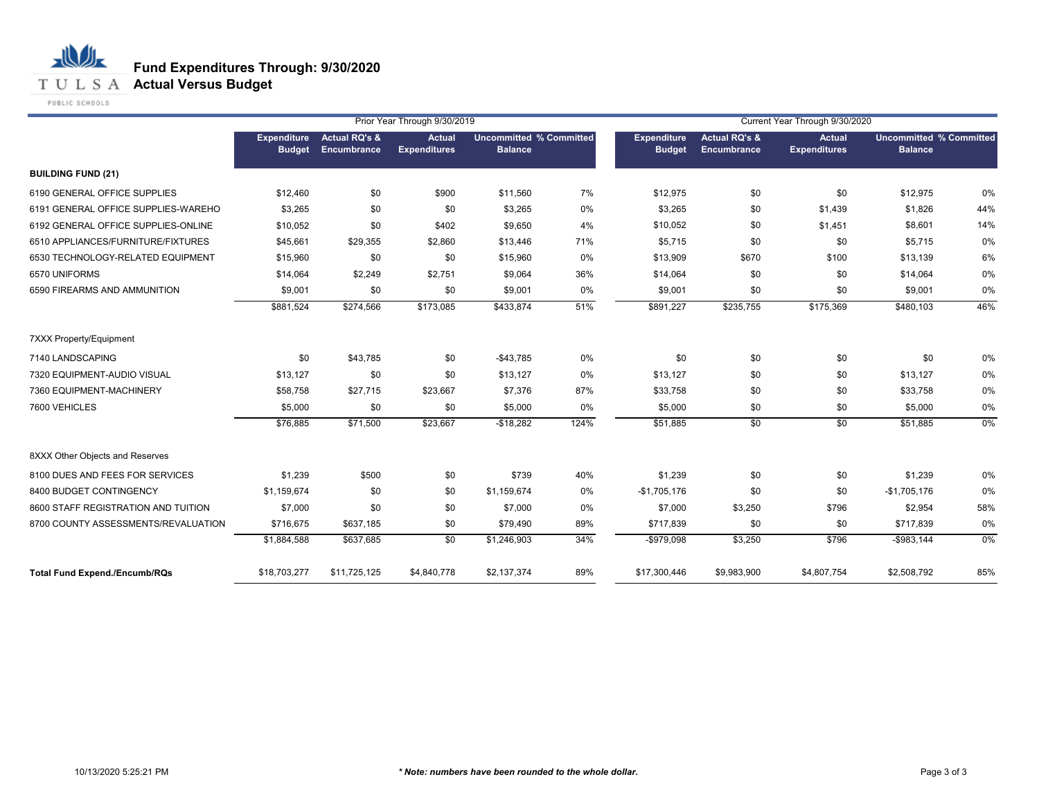**T U L S A Actual Versus Budget** 

PUBLIC SCHOOLS

|                                      |                                     |                                         | Prior Year Through 9/30/2019         |                                                  |      | Current Year Through 9/30/2020      |                                         |                                      |                                                  |       |
|--------------------------------------|-------------------------------------|-----------------------------------------|--------------------------------------|--------------------------------------------------|------|-------------------------------------|-----------------------------------------|--------------------------------------|--------------------------------------------------|-------|
|                                      | <b>Expenditure</b><br><b>Budget</b> | <b>Actual RQ's &amp;</b><br>Encumbrance | <b>Actual</b><br><b>Expenditures</b> | <b>Uncommitted % Committed</b><br><b>Balance</b> |      | <b>Expenditure</b><br><b>Budget</b> | <b>Actual RQ's &amp;</b><br>Encumbrance | <b>Actual</b><br><b>Expenditures</b> | <b>Uncommitted % Committed</b><br><b>Balance</b> |       |
| <b>BUILDING FUND (21)</b>            |                                     |                                         |                                      |                                                  |      |                                     |                                         |                                      |                                                  |       |
| 6190 GENERAL OFFICE SUPPLIES         | \$12,460                            | \$0                                     | \$900                                | \$11,560                                         | 7%   | \$12,975                            | \$0                                     | \$0                                  | \$12,975                                         | 0%    |
| 6191 GENERAL OFFICE SUPPLIES-WAREHO  | \$3,265                             | \$0                                     | \$0                                  | \$3,265                                          | 0%   | \$3,265                             | \$0                                     | \$1,439                              | \$1,826                                          | 44%   |
| 6192 GENERAL OFFICE SUPPLIES-ONLINE  | \$10,052                            | \$0                                     | \$402                                | \$9,650                                          | 4%   | \$10,052                            | \$0                                     | \$1,451                              | \$8,601                                          | 14%   |
| 6510 APPLIANCES/FURNITURE/FIXTURES   | \$45,661                            | \$29,355                                | \$2,860                              | \$13,446                                         | 71%  | \$5,715                             | \$0                                     | \$0                                  | \$5,715                                          | 0%    |
| 6530 TECHNOLOGY-RELATED EQUIPMENT    | \$15,960                            | \$0                                     | \$0                                  | \$15,960                                         | 0%   | \$13,909                            | \$670                                   | \$100                                | \$13,139                                         | 6%    |
| 6570 UNIFORMS                        | \$14,064                            | \$2,249                                 | \$2,751                              | \$9,064                                          | 36%  | \$14,064                            | \$0                                     | \$0                                  | \$14,064                                         | 0%    |
| 6590 FIREARMS AND AMMUNITION         | \$9,001                             | \$0                                     | \$0                                  | \$9,001                                          | 0%   | \$9,001                             | \$0                                     | \$0                                  | \$9,001                                          | 0%    |
|                                      | \$881,524                           | \$274,566                               | \$173,085                            | \$433,874                                        | 51%  | \$891,227                           | \$235,755                               | \$175,369                            | \$480,103                                        | 46%   |
| 7XXX Property/Equipment              |                                     |                                         |                                      |                                                  |      |                                     |                                         |                                      |                                                  |       |
| 7140 LANDSCAPING                     | \$0                                 | \$43,785                                | \$0                                  | $-$43,785$                                       | 0%   | \$0                                 | \$0                                     | \$0                                  | \$0                                              | 0%    |
| 7320 EQUIPMENT-AUDIO VISUAL          | \$13,127                            | \$0                                     | \$0                                  | \$13,127                                         | 0%   | \$13,127                            | \$0                                     | \$0                                  | \$13,127                                         | 0%    |
| 7360 EQUIPMENT-MACHINERY             | \$58,758                            | \$27,715                                | \$23,667                             | \$7,376                                          | 87%  | \$33,758                            | \$0                                     | \$0                                  | \$33,758                                         | 0%    |
| 7600 VEHICLES                        | \$5,000                             | \$0                                     | \$0                                  | \$5,000                                          | 0%   | \$5,000                             | \$0                                     | \$0                                  | \$5,000                                          | 0%    |
|                                      | \$76,885                            | \$71,500                                | \$23,667                             | $-$18,282$                                       | 124% | \$51,885                            | \$0                                     | \$0                                  | \$51,885                                         | $0\%$ |
| 8XXX Other Objects and Reserves      |                                     |                                         |                                      |                                                  |      |                                     |                                         |                                      |                                                  |       |
| 8100 DUES AND FEES FOR SERVICES      | \$1,239                             | \$500                                   | \$0                                  | \$739                                            | 40%  | \$1,239                             | \$0                                     | \$0                                  | \$1,239                                          | 0%    |
| 8400 BUDGET CONTINGENCY              | \$1,159,674                         | \$0                                     | \$0                                  | \$1,159,674                                      | 0%   | $-$1,705,176$                       | \$0                                     | \$0                                  | $-$1,705,176$                                    | 0%    |
| 8600 STAFF REGISTRATION AND TUITION  | \$7,000                             | \$0                                     | \$0                                  | \$7,000                                          | 0%   | \$7,000                             | \$3,250                                 | \$796                                | \$2,954                                          | 58%   |
| 8700 COUNTY ASSESSMENTS/REVALUATION  | \$716,675                           | \$637,185                               | \$0                                  | \$79,490                                         | 89%  | \$717,839                           | \$0                                     | \$0                                  | \$717,839                                        | 0%    |
|                                      | \$1,884,588                         | \$637,685                               | \$0                                  | \$1,246,903                                      | 34%  | -\$979,098                          | \$3,250                                 | \$796                                | $-$983,144$                                      | 0%    |
| <b>Total Fund Expend./Encumb/RQs</b> | \$18,703,277                        | \$11,725,125                            | \$4,840,778                          | \$2,137,374                                      | 89%  | \$17,300,446                        | \$9,983,900                             | \$4,807,754                          | \$2,508,792                                      | 85%   |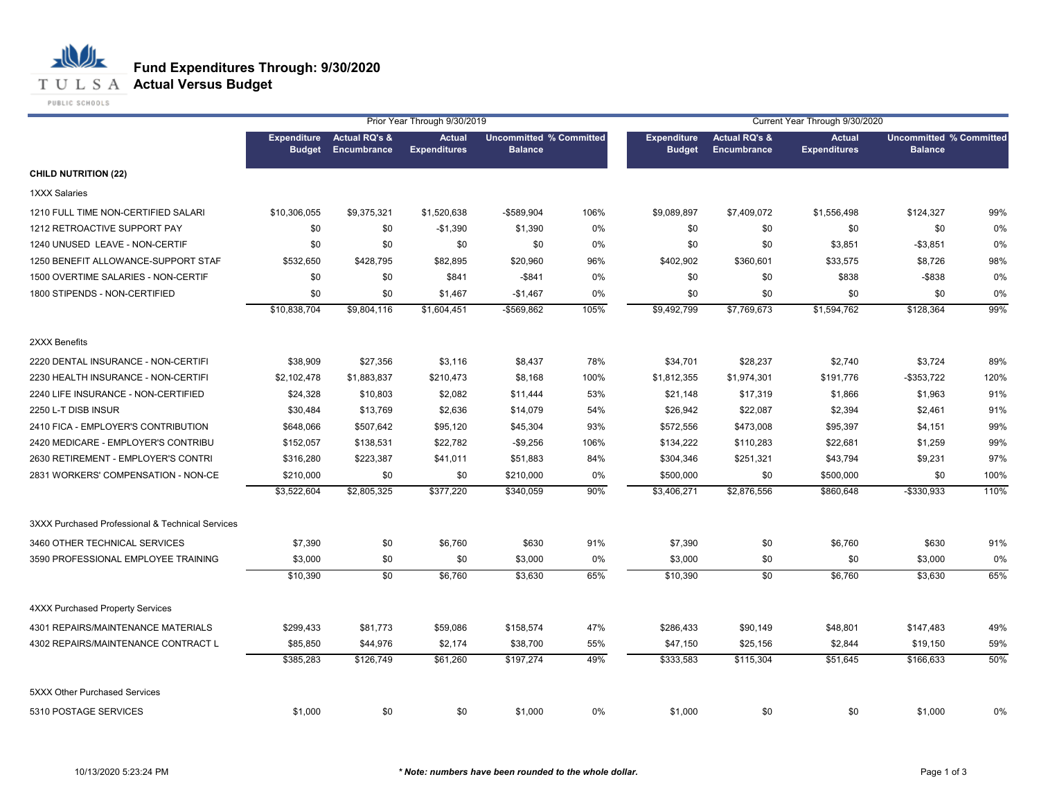## **T U L S A Actual Versus Budget**

PUBLIC SCHOOLS

|                                                  |                                     |                                         | Prior Year Through 9/30/2019         |                                                  |      | Current Year Through 9/30/2020      |                                                |                                      |                                                  |      |
|--------------------------------------------------|-------------------------------------|-----------------------------------------|--------------------------------------|--------------------------------------------------|------|-------------------------------------|------------------------------------------------|--------------------------------------|--------------------------------------------------|------|
|                                                  | <b>Expenditure</b><br><b>Budget</b> | <b>Actual RQ's &amp;</b><br>Encumbrance | <b>Actual</b><br><b>Expenditures</b> | <b>Uncommitted % Committed</b><br><b>Balance</b> |      | <b>Expenditure</b><br><b>Budget</b> | <b>Actual RQ's &amp;</b><br><b>Encumbrance</b> | <b>Actual</b><br><b>Expenditures</b> | <b>Uncommitted % Committed</b><br><b>Balance</b> |      |
| <b>CHILD NUTRITION (22)</b>                      |                                     |                                         |                                      |                                                  |      |                                     |                                                |                                      |                                                  |      |
| <b>1XXX Salaries</b>                             |                                     |                                         |                                      |                                                  |      |                                     |                                                |                                      |                                                  |      |
| 1210 FULL TIME NON-CERTIFIED SALARI              | \$10,306,055                        | \$9,375,321                             | \$1,520,638                          | -\$589,904                                       | 106% | \$9,089,897                         | \$7,409,072                                    | \$1,556,498                          | \$124,327                                        | 99%  |
| 1212 RETROACTIVE SUPPORT PAY                     | \$0                                 | \$0                                     | $-$1,390$                            | \$1,390                                          | 0%   | \$0                                 | \$0                                            | \$0                                  | \$0                                              | 0%   |
| 1240 UNUSED LEAVE - NON-CERTIF                   | \$0                                 | \$0                                     | \$0                                  | \$0                                              | 0%   | \$0                                 | \$0                                            | \$3,851                              | $-$ \$3,851                                      | 0%   |
| 1250 BENEFIT ALLOWANCE-SUPPORT STAF              | \$532,650                           | \$428,795                               | \$82,895                             | \$20,960                                         | 96%  | \$402,902                           | \$360,601                                      | \$33,575                             | \$8,726                                          | 98%  |
| 1500 OVERTIME SALARIES - NON-CERTIF              | \$0                                 | \$0                                     | \$841                                | $-$ \$841                                        | 0%   | \$0                                 | \$0                                            | \$838                                | $-$ \$838                                        | 0%   |
| 1800 STIPENDS - NON-CERTIFIED                    | \$0                                 | \$0                                     | \$1,467                              | $-$1,467$                                        | 0%   | \$0                                 | \$0                                            | \$0                                  | \$0                                              | 0%   |
|                                                  | \$10,838,704                        | \$9,804,116                             | \$1,604,451                          | -\$569,862                                       | 105% | \$9,492,799                         | \$7,769,673                                    | \$1,594,762                          | \$128,364                                        | 99%  |
| 2XXX Benefits                                    |                                     |                                         |                                      |                                                  |      |                                     |                                                |                                      |                                                  |      |
| 2220 DENTAL INSURANCE - NON-CERTIFI              | \$38,909                            | \$27,356                                | \$3,116                              | \$8,437                                          | 78%  | \$34,701                            | \$28,237                                       | \$2,740                              | \$3,724                                          | 89%  |
| 2230 HEALTH INSURANCE - NON-CERTIFI              | \$2,102,478                         | \$1,883,837                             | \$210,473                            | \$8,168                                          | 100% | \$1,812,355                         | \$1,974,301                                    | \$191,776                            | $-$ \$353,722                                    | 120% |
| 2240 LIFE INSURANCE - NON-CERTIFIED              | \$24,328                            | \$10,803                                | \$2,082                              | \$11,444                                         | 53%  | \$21,148                            | \$17,319                                       | \$1,866                              | \$1,963                                          | 91%  |
| 2250 L-T DISB INSUR                              | \$30,484                            | \$13,769                                | \$2,636                              | \$14,079                                         | 54%  | \$26,942                            | \$22,087                                       | \$2,394                              | \$2,461                                          | 91%  |
| 2410 FICA - EMPLOYER'S CONTRIBUTION              | \$648,066                           | \$507,642                               | \$95,120                             | \$45,304                                         | 93%  | \$572,556                           | \$473,008                                      | \$95,397                             | \$4,151                                          | 99%  |
| 2420 MEDICARE - EMPLOYER'S CONTRIBU              | \$152,057                           | \$138,531                               | \$22,782                             | $-$9,256$                                        | 106% | \$134,222                           | \$110,283                                      | \$22,681                             | \$1,259                                          | 99%  |
| 2630 RETIREMENT - EMPLOYER'S CONTRI              | \$316,280                           | \$223,387                               | \$41,011                             | \$51,883                                         | 84%  | \$304,346                           | \$251,321                                      | \$43,794                             | \$9,231                                          | 97%  |
| 2831 WORKERS' COMPENSATION - NON-CE              | \$210,000                           | \$0                                     | \$0                                  | \$210,000                                        | 0%   | \$500,000                           | \$0                                            | \$500,000                            | \$0                                              | 100% |
|                                                  | \$3,522,604                         | \$2,805,325                             | \$377,220                            | \$340,059                                        | 90%  | \$3,406,271                         | \$2,876,556                                    | \$860,648                            | $-$330,933$                                      | 110% |
| 3XXX Purchased Professional & Technical Services |                                     |                                         |                                      |                                                  |      |                                     |                                                |                                      |                                                  |      |
| 3460 OTHER TECHNICAL SERVICES                    | \$7,390                             | \$0                                     | \$6,760                              | \$630                                            | 91%  | \$7,390                             | \$0                                            | \$6,760                              | \$630                                            | 91%  |
| 3590 PROFESSIONAL EMPLOYEE TRAINING              | \$3,000                             | \$0                                     | \$0                                  | \$3,000                                          | 0%   | \$3,000                             | \$0                                            | \$0                                  | \$3,000                                          | 0%   |
|                                                  | \$10,390                            | \$0                                     | \$6,760                              | \$3,630                                          | 65%  | \$10,390                            | \$0                                            | \$6,760                              | \$3,630                                          | 65%  |
| <b>4XXX Purchased Property Services</b>          |                                     |                                         |                                      |                                                  |      |                                     |                                                |                                      |                                                  |      |
| 4301 REPAIRS/MAINTENANCE MATERIALS               | \$299,433                           | \$81,773                                | \$59,086                             | \$158,574                                        | 47%  | \$286,433                           | \$90,149                                       | \$48,801                             | \$147,483                                        | 49%  |
| 4302 REPAIRS/MAINTENANCE CONTRACT L              | \$85,850                            | \$44,976                                | \$2,174                              | \$38,700                                         | 55%  | \$47,150                            | \$25,156                                       | \$2,844                              | \$19,150                                         | 59%  |
|                                                  | \$385,283                           | \$126,749                               | \$61,260                             | \$197,274                                        | 49%  | \$333,583                           | \$115,304                                      | \$51,645                             | \$166,633                                        | 50%  |
| 5XXX Other Purchased Services                    |                                     |                                         |                                      |                                                  |      |                                     |                                                |                                      |                                                  |      |
| 5310 POSTAGE SERVICES                            | \$1,000                             | \$0                                     | \$0                                  | \$1,000                                          | 0%   | \$1,000                             | \$0                                            | \$0                                  | \$1,000                                          | 0%   |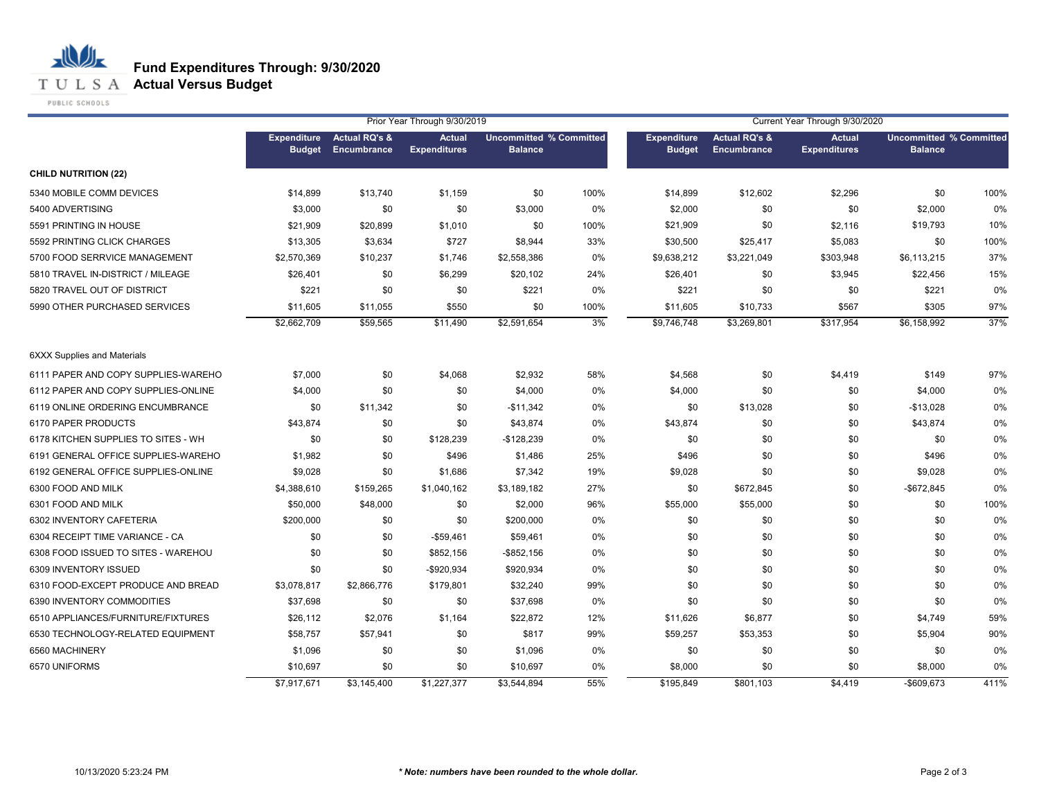**T U L S A Actual Versus Budget** 

PUBLIC SCHOOLS

|                                     |                                     |                                         | Prior Year Through 9/30/2019         |                                                  |       | Current Year Through 9/30/2020      |                                         |                                      |                                                  |      |
|-------------------------------------|-------------------------------------|-----------------------------------------|--------------------------------------|--------------------------------------------------|-------|-------------------------------------|-----------------------------------------|--------------------------------------|--------------------------------------------------|------|
|                                     | <b>Expenditure</b><br><b>Budget</b> | <b>Actual RQ's &amp;</b><br>Encumbrance | <b>Actual</b><br><b>Expenditures</b> | <b>Uncommitted % Committed</b><br><b>Balance</b> |       | <b>Expenditure</b><br><b>Budget</b> | <b>Actual RQ's &amp;</b><br>Encumbrance | <b>Actual</b><br><b>Expenditures</b> | <b>Uncommitted % Committed</b><br><b>Balance</b> |      |
| <b>CHILD NUTRITION (22)</b>         |                                     |                                         |                                      |                                                  |       |                                     |                                         |                                      |                                                  |      |
| 5340 MOBILE COMM DEVICES            | \$14,899                            | \$13,740                                | \$1,159                              | \$0                                              | 100%  | \$14,899                            | \$12,602                                | \$2,296                              | \$0                                              | 100% |
| 5400 ADVERTISING                    | \$3,000                             | \$0                                     | \$0                                  | \$3,000                                          | 0%    | \$2,000                             | \$0                                     | \$0                                  | \$2,000                                          | 0%   |
| 5591 PRINTING IN HOUSE              | \$21,909                            | \$20,899                                | \$1,010                              | \$0                                              | 100%  | \$21,909                            | \$0                                     | \$2,116                              | \$19,793                                         | 10%  |
| 5592 PRINTING CLICK CHARGES         | \$13,305                            | \$3,634                                 | \$727                                | \$8,944                                          | 33%   | \$30,500                            | \$25,417                                | \$5,083                              | \$0                                              | 100% |
| 5700 FOOD SERRVICE MANAGEMENT       | \$2,570,369                         | \$10,237                                | \$1,746                              | \$2,558,386                                      | 0%    | \$9,638,212                         | \$3,221,049                             | \$303,948                            | \$6,113,215                                      | 37%  |
| 5810 TRAVEL IN-DISTRICT / MILEAGE   | \$26,401                            | \$0                                     | \$6,299                              | \$20,102                                         | 24%   | \$26,401                            | \$0                                     | \$3,945                              | \$22,456                                         | 15%  |
| 5820 TRAVEL OUT OF DISTRICT         | \$221                               | \$0                                     | \$0                                  | \$221                                            | 0%    | \$221                               | \$0                                     | \$0                                  | \$221                                            | 0%   |
| 5990 OTHER PURCHASED SERVICES       | \$11,605                            | \$11,055                                | \$550                                | \$0                                              | 100%  | \$11,605                            | \$10,733                                | \$567                                | \$305                                            | 97%  |
|                                     | \$2,662,709                         | \$59,565                                | \$11,490                             | \$2,591,654                                      | 3%    | \$9,746,748                         | \$3,269,801                             | \$317,954                            | \$6,158,992                                      | 37%  |
| <b>6XXX Supplies and Materials</b>  |                                     |                                         |                                      |                                                  |       |                                     |                                         |                                      |                                                  |      |
| 6111 PAPER AND COPY SUPPLIES-WAREHO | \$7,000                             | \$0                                     | \$4,068                              | \$2,932                                          | 58%   | \$4,568                             | \$0                                     | \$4,419                              | \$149                                            | 97%  |
| 6112 PAPER AND COPY SUPPLIES-ONLINE | \$4,000                             | \$0                                     | \$0                                  | \$4,000                                          | 0%    | \$4,000                             | \$0                                     | \$0                                  | \$4,000                                          | 0%   |
| 6119 ONLINE ORDERING ENCUMBRANCE    | \$0                                 | \$11,342                                | \$0                                  | $-$11,342$                                       | $0\%$ | \$0                                 | \$13,028                                | \$0                                  | $-$13,028$                                       | 0%   |
| 6170 PAPER PRODUCTS                 | \$43,874                            | \$0                                     | \$0                                  | \$43,874                                         | 0%    | \$43,874                            | \$0                                     | \$0                                  | \$43,874                                         | 0%   |
| 6178 KITCHEN SUPPLIES TO SITES - WH | \$0                                 | \$0                                     | \$128,239                            | $-$128,239$                                      | 0%    | \$0                                 | \$0                                     | \$0                                  | \$0                                              | 0%   |
| 6191 GENERAL OFFICE SUPPLIES-WAREHO | \$1,982                             | \$0                                     | \$496                                | \$1,486                                          | 25%   | \$496                               | \$0                                     | \$0                                  | \$496                                            | 0%   |
| 6192 GENERAL OFFICE SUPPLIES-ONLINE | \$9,028                             | \$0                                     | \$1,686                              | \$7,342                                          | 19%   | \$9,028                             | \$0                                     | \$0                                  | \$9,028                                          | 0%   |
| 6300 FOOD AND MILK                  | \$4,388,610                         | \$159,265                               | \$1,040,162                          | \$3,189,182                                      | 27%   | \$0                                 | \$672,845                               | \$0                                  | -\$672,845                                       | 0%   |
| 6301 FOOD AND MILK                  | \$50,000                            | \$48,000                                | \$0                                  | \$2,000                                          | 96%   | \$55,000                            | \$55,000                                | \$0                                  | \$0                                              | 100% |
| 6302 INVENTORY CAFETERIA            | \$200,000                           | \$0                                     | \$0                                  | \$200,000                                        | 0%    | \$0                                 | \$0                                     | \$0                                  | \$0                                              | 0%   |
| 6304 RECEIPT TIME VARIANCE - CA     | \$0                                 | \$0                                     | $-$59,461$                           | \$59,461                                         | $0\%$ | \$0                                 | \$0                                     | \$0                                  | \$0                                              | 0%   |
| 6308 FOOD ISSUED TO SITES - WAREHOU | \$0                                 | \$0                                     | \$852,156                            | $-$ \$852,156                                    | 0%    | \$0                                 | \$0                                     | \$0                                  | \$0                                              | 0%   |
| 6309 INVENTORY ISSUED               | \$0                                 | \$0                                     | -\$920,934                           | \$920,934                                        | 0%    | \$0                                 | \$0                                     | \$0                                  | \$0                                              | 0%   |
| 6310 FOOD-EXCEPT PRODUCE AND BREAD  | \$3,078,817                         | \$2,866,776                             | \$179,801                            | \$32,240                                         | 99%   | \$0                                 | \$0                                     | \$0                                  | \$0                                              | 0%   |
| 6390 INVENTORY COMMODITIES          | \$37,698                            | \$0                                     | \$0                                  | \$37,698                                         | 0%    | \$0                                 | \$0                                     | \$0                                  | \$0                                              | 0%   |
| 6510 APPLIANCES/FURNITURE/FIXTURES  | \$26,112                            | \$2,076                                 | \$1,164                              | \$22,872                                         | 12%   | \$11,626                            | \$6,877                                 | \$0                                  | \$4,749                                          | 59%  |
| 6530 TECHNOLOGY-RELATED EQUIPMENT   | \$58,757                            | \$57,941                                | \$0                                  | \$817                                            | 99%   | \$59,257                            | \$53,353                                | \$0                                  | \$5,904                                          | 90%  |
| 6560 MACHINERY                      | \$1,096                             | \$0                                     | \$0                                  | \$1,096                                          | 0%    | \$0                                 | \$0                                     | \$0                                  | \$0                                              | 0%   |
| 6570 UNIFORMS                       | \$10,697                            | \$0                                     | \$0                                  | \$10,697                                         | 0%    | \$8,000                             | \$0                                     | \$0                                  | \$8,000                                          | 0%   |
|                                     | \$7,917,671                         | \$3,145,400                             | \$1,227,377                          | \$3,544,894                                      | 55%   | \$195,849                           | \$801,103                               | \$4,419                              | -\$609,673                                       | 411% |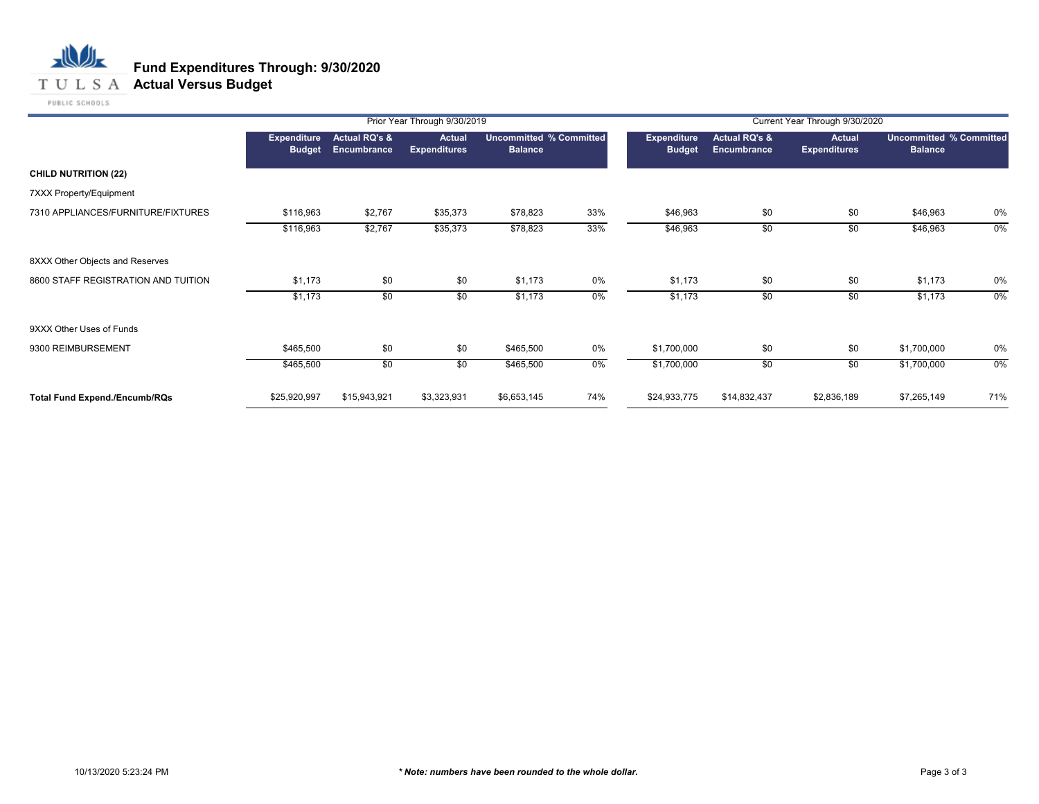## **T U L S A Actual Versus Budget**

PUBLIC SCHOOLS

|                                      |                                     |                                         | Prior Year Through 9/30/2019         |                                           |     |                                     |                              | Current Year Through 9/30/2020       |                                                  |       |
|--------------------------------------|-------------------------------------|-----------------------------------------|--------------------------------------|-------------------------------------------|-----|-------------------------------------|------------------------------|--------------------------------------|--------------------------------------------------|-------|
|                                      | <b>Expenditure</b><br><b>Budget</b> | <b>Actual RQ's &amp;</b><br>Encumbrance | <b>Actual</b><br><b>Expenditures</b> | Uncommitted % Committed<br><b>Balance</b> |     | <b>Expenditure</b><br><b>Budget</b> | Actual RQ's &<br>Encumbrance | <b>Actual</b><br><b>Expenditures</b> | <b>Uncommitted % Committed</b><br><b>Balance</b> |       |
| <b>CHILD NUTRITION (22)</b>          |                                     |                                         |                                      |                                           |     |                                     |                              |                                      |                                                  |       |
| 7XXX Property/Equipment              |                                     |                                         |                                      |                                           |     |                                     |                              |                                      |                                                  |       |
| 7310 APPLIANCES/FURNITURE/FIXTURES   | \$116,963                           | \$2,767                                 | \$35,373                             | \$78,823                                  | 33% | \$46,963                            | \$0                          | \$0                                  | \$46,963                                         | 0%    |
|                                      | \$116,963                           | \$2,767                                 | \$35,373                             | \$78,823                                  | 33% | \$46,963                            | \$0                          | \$0                                  | \$46,963                                         | $0\%$ |
| 8XXX Other Objects and Reserves      |                                     |                                         |                                      |                                           |     |                                     |                              |                                      |                                                  |       |
| 8600 STAFF REGISTRATION AND TUITION  | \$1,173                             | \$0                                     | \$0                                  | \$1,173                                   | 0%  | \$1,173                             | \$0                          | \$0                                  | \$1,173                                          | 0%    |
|                                      | \$1,173                             | \$0                                     | \$0                                  | \$1,173                                   | 0%  | \$1,173                             | \$0                          | \$0                                  | \$1,173                                          | $0\%$ |
| 9XXX Other Uses of Funds             |                                     |                                         |                                      |                                           |     |                                     |                              |                                      |                                                  |       |
| 9300 REIMBURSEMENT                   | \$465,500                           | \$0                                     | \$0                                  | \$465,500                                 | 0%  | \$1,700,000                         | \$0                          | \$0                                  | \$1,700,000                                      | 0%    |
|                                      | \$465,500                           | \$0                                     | \$0                                  | \$465,500                                 | 0%  | \$1,700,000                         | \$0                          | \$0                                  | \$1,700,000                                      | 0%    |
| <b>Total Fund Expend./Encumb/RQs</b> | \$25,920,997                        | \$15,943,921                            | \$3,323,931                          | \$6,653,145                               | 74% | \$24,933,775                        | \$14,832,437                 | \$2,836,189                          | \$7,265,149                                      | 71%   |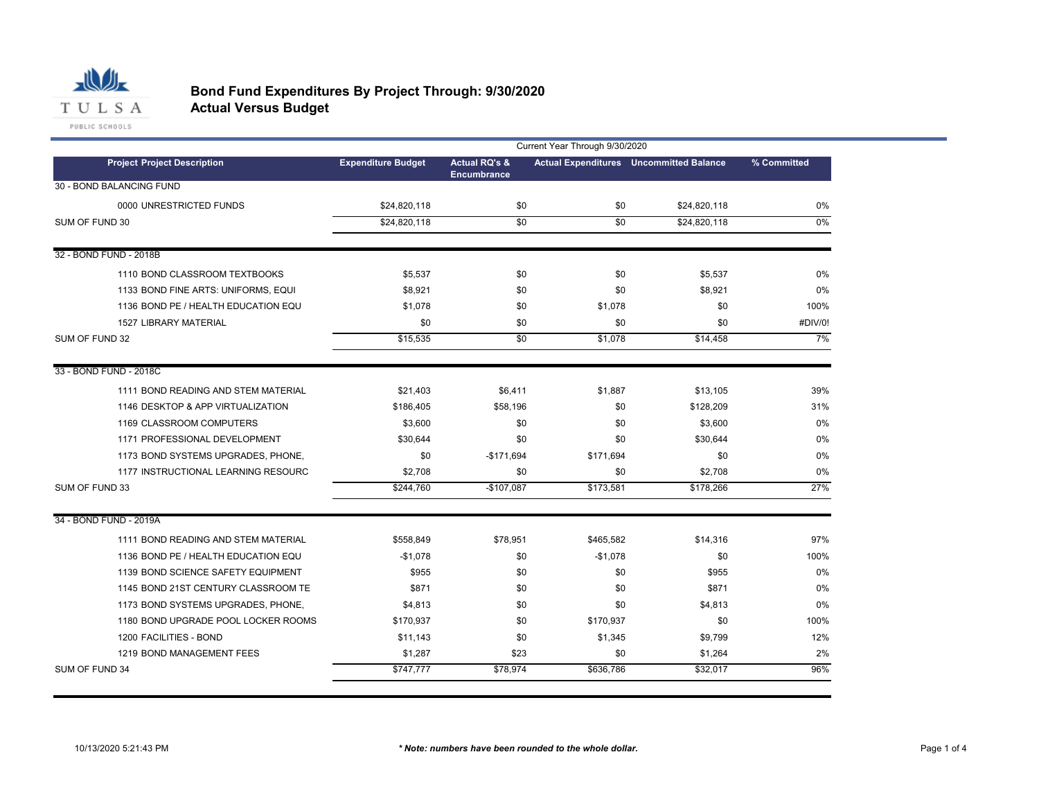

|                                     | Current Year Through 9/30/2020 |                          |           |                                                |             |  |
|-------------------------------------|--------------------------------|--------------------------|-----------|------------------------------------------------|-------------|--|
| <b>Project Project Description</b>  | <b>Expenditure Budget</b>      | <b>Actual RQ's &amp;</b> |           | <b>Actual Expenditures</b> Uncommitted Balance | % Committed |  |
| 30 - BOND BALANCING FUND            |                                | <b>Encumbrance</b>       |           |                                                |             |  |
| 0000 UNRESTRICTED FUNDS             | \$24.820.118                   | \$0                      | \$0       | \$24.820.118                                   | 0%          |  |
| SUM OF FUND 30                      | \$24,820,118                   | $\overline{30}$          | \$0       | \$24,820,118                                   | $0\%$       |  |
|                                     |                                |                          |           |                                                |             |  |
| 32 - BOND FUND - 2018B              |                                |                          |           |                                                |             |  |
| 1110 BOND CLASSROOM TEXTBOOKS       | \$5,537                        | \$0                      | \$0       | \$5,537                                        | 0%          |  |
| 1133 BOND FINE ARTS: UNIFORMS, EQUI | \$8,921                        | \$0                      | \$0       | \$8,921                                        | 0%          |  |
| 1136 BOND PE / HEALTH EDUCATION EQU | \$1,078                        | \$0                      | \$1,078   | \$0                                            | 100%        |  |
| <b>1527 LIBRARY MATERIAL</b>        | \$0                            | \$0                      | \$0       | \$0                                            | #DIV/0!     |  |
| SUM OF FUND 32                      | \$15,535                       | $\overline{50}$          | \$1,078   | \$14,458                                       | 7%          |  |
|                                     |                                |                          |           |                                                |             |  |
| 33 - BOND FUND - 2018C              |                                |                          |           |                                                |             |  |
| 1111 BOND READING AND STEM MATERIAL | \$21,403                       | \$6,411                  | \$1,887   | \$13,105                                       | 39%         |  |
| 1146 DESKTOP & APP VIRTUALIZATION   | \$186,405                      | \$58,196                 | \$0       | \$128,209                                      | 31%         |  |
| 1169 CLASSROOM COMPUTERS            | \$3,600                        | \$0                      | \$0       | \$3,600                                        | 0%          |  |
| 1171 PROFESSIONAL DEVELOPMENT       | \$30,644                       | \$0                      | \$0       | \$30,644                                       | 0%          |  |
| 1173 BOND SYSTEMS UPGRADES, PHONE,  | \$0                            | $-$171,694$              | \$171,694 | \$0                                            | 0%          |  |
| 1177 INSTRUCTIONAL LEARNING RESOURC | \$2,708                        | \$0                      | \$0       | \$2,708                                        | 0%          |  |
| SUM OF FUND 33                      | \$244,760                      | $-$107,087$              | \$173,581 | \$178,266                                      | 27%         |  |
|                                     |                                |                          |           |                                                |             |  |
| 34 - BOND FUND - 2019A              |                                |                          |           |                                                |             |  |
| 1111 BOND READING AND STEM MATERIAL | \$558,849                      | \$78,951                 | \$465,582 | \$14,316                                       | 97%         |  |
| 1136 BOND PE / HEALTH EDUCATION EQU | $-$1,078$                      | \$0                      | $-$1,078$ | \$0                                            | 100%        |  |
| 1139 BOND SCIENCE SAFETY EQUIPMENT  | \$955                          | \$0                      | \$0       | \$955                                          | 0%          |  |
| 1145 BOND 21ST CENTURY CLASSROOM TE | \$871                          | \$0                      | \$0       | \$871                                          | 0%          |  |
| 1173 BOND SYSTEMS UPGRADES, PHONE,  | \$4,813                        | \$0                      | \$0       | \$4,813                                        | 0%          |  |
| 1180 BOND UPGRADE POOL LOCKER ROOMS | \$170,937                      | \$0                      | \$170,937 | \$0                                            | 100%        |  |
| 1200 FACILITIES - BOND              | \$11,143                       | \$0                      | \$1,345   | \$9,799                                        | 12%         |  |
| 1219 BOND MANAGEMENT FEES           | \$1,287                        | \$23                     | \$0       | \$1,264                                        | 2%          |  |
| SUM OF FUND 34                      | \$747,777                      | \$78,974                 | \$636,786 | \$32,017                                       | 96%         |  |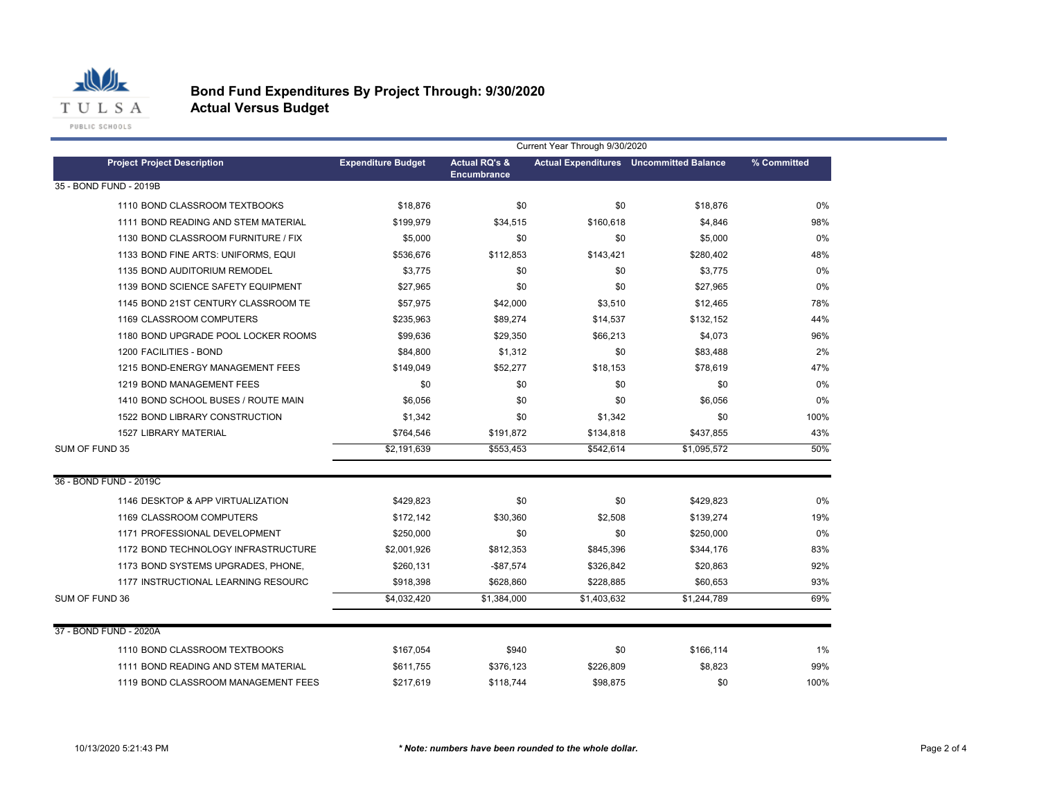

|                                     | Current Year Through 9/30/2020 |                          |             |                                                |             |  |  |
|-------------------------------------|--------------------------------|--------------------------|-------------|------------------------------------------------|-------------|--|--|
| <b>Project Project Description</b>  | <b>Expenditure Budget</b>      | <b>Actual RQ's &amp;</b> |             | <b>Actual Expenditures</b> Uncommitted Balance | % Committed |  |  |
| 35 - BOND FUND - 2019B              |                                | <b>Encumbrance</b>       |             |                                                |             |  |  |
| 1110 BOND CLASSROOM TEXTBOOKS       | \$18,876                       | \$0                      | \$0         | \$18,876                                       | 0%          |  |  |
| 1111 BOND READING AND STEM MATERIAL | \$199,979                      | \$34,515                 | \$160,618   | \$4,846                                        | 98%         |  |  |
| 1130 BOND CLASSROOM FURNITURE / FIX | \$5,000                        | \$0                      | \$0         | \$5,000                                        | 0%          |  |  |
| 1133 BOND FINE ARTS: UNIFORMS, EQUI | \$536,676                      | \$112,853                | \$143,421   | \$280,402                                      | 48%         |  |  |
| 1135 BOND AUDITORIUM REMODEL        | \$3,775                        | \$0                      | \$0         | \$3,775                                        | 0%          |  |  |
| 1139 BOND SCIENCE SAFETY EQUIPMENT  | \$27,965                       | \$0                      | \$0         | \$27,965                                       | 0%          |  |  |
| 1145 BOND 21ST CENTURY CLASSROOM TE | \$57,975                       | \$42,000                 | \$3,510     | \$12,465                                       | 78%         |  |  |
| 1169 CLASSROOM COMPUTERS            | \$235,963                      | \$89,274                 | \$14,537    | \$132,152                                      | 44%         |  |  |
| 1180 BOND UPGRADE POOL LOCKER ROOMS | \$99,636                       | \$29,350                 | \$66,213    | \$4,073                                        | 96%         |  |  |
| 1200 FACILITIES - BOND              | \$84,800                       | \$1,312                  | \$0         | \$83,488                                       | 2%          |  |  |
| 1215 BOND-ENERGY MANAGEMENT FEES    | \$149,049                      | \$52,277                 | \$18,153    | \$78,619                                       | 47%         |  |  |
| 1219 BOND MANAGEMENT FEES           | \$0                            | \$0                      | \$0         | \$0                                            | 0%          |  |  |
| 1410 BOND SCHOOL BUSES / ROUTE MAIN | \$6,056                        | \$0                      | \$0         | \$6,056                                        | 0%          |  |  |
| 1522 BOND LIBRARY CONSTRUCTION      | \$1,342                        | \$0                      | \$1,342     | \$0                                            | 100%        |  |  |
| 1527 LIBRARY MATERIAL               | \$764,546                      | \$191,872                | \$134,818   | \$437,855                                      | 43%         |  |  |
| SUM OF FUND 35                      | \$2,191,639                    | \$553,453                | \$542,614   | \$1,095,572                                    | 50%         |  |  |
| 36 - BOND FUND - 2019C              |                                |                          |             |                                                |             |  |  |
| 1146 DESKTOP & APP VIRTUALIZATION   | \$429,823                      | \$0                      | \$0         | \$429,823                                      | 0%          |  |  |
| 1169 CLASSROOM COMPUTERS            | \$172,142                      | \$30,360                 | \$2,508     | \$139,274                                      | 19%         |  |  |
| 1171 PROFESSIONAL DEVELOPMENT       | \$250,000                      | \$0                      | \$0         | \$250.000                                      | 0%          |  |  |
| 1172 BOND TECHNOLOGY INFRASTRUCTURE | \$2,001,926                    | \$812,353                | \$845,396   | \$344,176                                      | 83%         |  |  |
| 1173 BOND SYSTEMS UPGRADES, PHONE,  | \$260,131                      | $-$87,574$               | \$326,842   | \$20,863                                       | 92%         |  |  |
| 1177 INSTRUCTIONAL LEARNING RESOURC | \$918,398                      | \$628,860                | \$228,885   | \$60,653                                       | 93%         |  |  |
| SUM OF FUND 36                      | \$4,032,420                    | \$1,384,000              | \$1,403,632 | \$1,244,789                                    | 69%         |  |  |
| 37 - BOND FUND - 2020A              |                                |                          |             |                                                |             |  |  |
|                                     |                                |                          |             |                                                |             |  |  |
| 1110 BOND CLASSROOM TEXTBOOKS       | \$167,054                      | \$940                    | \$0         | \$166,114                                      | 1%          |  |  |
| 1111 BOND READING AND STEM MATERIAL | \$611,755                      | \$376,123                | \$226,809   | \$8,823                                        | 99%         |  |  |
| 1119 BOND CLASSROOM MANAGEMENT FEES | \$217,619                      | \$118,744                | \$98,875    | \$0                                            | 100%        |  |  |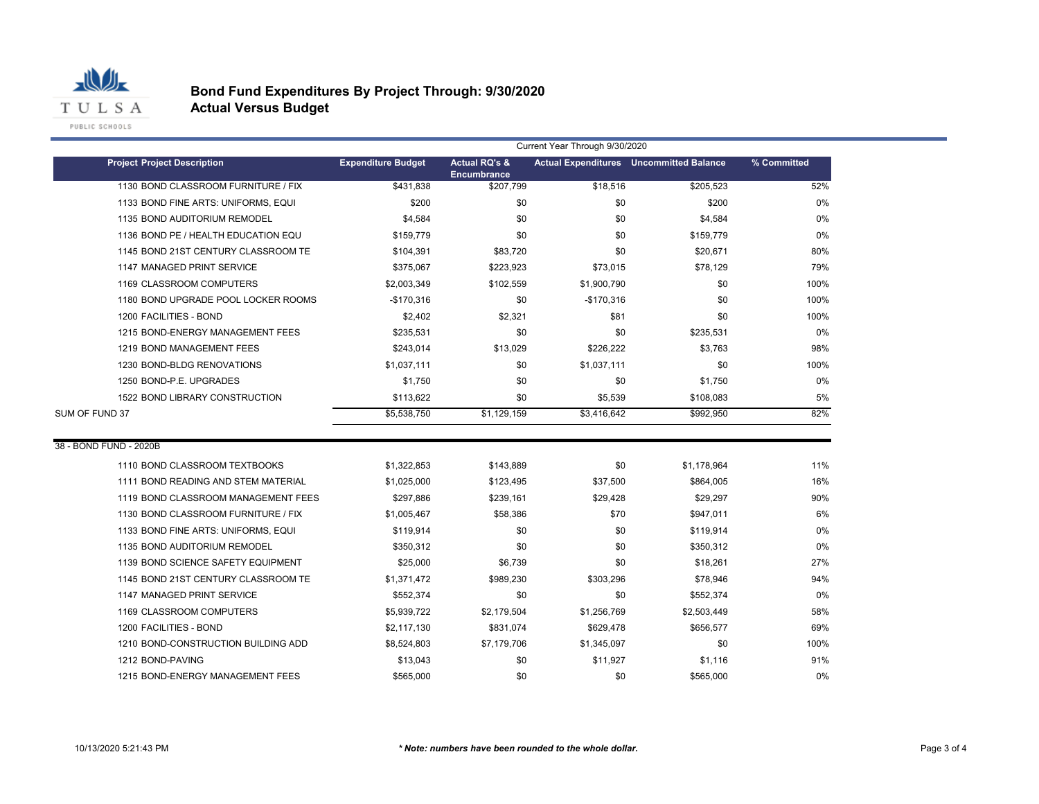

|                                     | Current Year Through 9/30/2020 |                                                |             |                                                |             |  |
|-------------------------------------|--------------------------------|------------------------------------------------|-------------|------------------------------------------------|-------------|--|
| <b>Project Project Description</b>  | <b>Expenditure Budget</b>      | <b>Actual RQ's &amp;</b><br><b>Encumbrance</b> |             | <b>Actual Expenditures</b> Uncommitted Balance | % Committed |  |
| 1130 BOND CLASSROOM FURNITURE / FIX | \$431,838                      | \$207,799                                      | \$18,516    | \$205,523                                      | 52%         |  |
| 1133 BOND FINE ARTS: UNIFORMS, EQUI | \$200                          | \$0                                            | \$0         | \$200                                          | 0%          |  |
| 1135 BOND AUDITORIUM REMODEL        | \$4,584                        | \$0                                            | \$0         | \$4,584                                        | 0%          |  |
| 1136 BOND PE / HEALTH EDUCATION EQU | \$159,779                      | \$0                                            | \$0         | \$159,779                                      | 0%          |  |
| 1145 BOND 21ST CENTURY CLASSROOM TE | \$104,391                      | \$83,720                                       | \$0         | \$20,671                                       | 80%         |  |
| 1147 MANAGED PRINT SERVICE          | \$375,067                      | \$223,923                                      | \$73,015    | \$78,129                                       | 79%         |  |
| 1169 CLASSROOM COMPUTERS            | \$2,003,349                    | \$102,559                                      | \$1,900,790 | \$0                                            | 100%        |  |
| 1180 BOND UPGRADE POOL LOCKER ROOMS | $-$170,316$                    | \$0                                            | $-$170,316$ | \$0                                            | 100%        |  |
| 1200 FACILITIES - BOND              | \$2,402                        | \$2,321                                        | \$81        | \$0                                            | 100%        |  |
| 1215 BOND-ENERGY MANAGEMENT FEES    | \$235,531                      | \$0                                            | \$0         | \$235,531                                      | 0%          |  |
| 1219 BOND MANAGEMENT FEES           | \$243,014                      | \$13,029                                       | \$226,222   | \$3,763                                        | 98%         |  |
| 1230 BOND-BLDG RENOVATIONS          | \$1,037,111                    | \$0                                            | \$1,037,111 | \$0                                            | 100%        |  |
| 1250 BOND-P.E. UPGRADES             | \$1,750                        | \$0                                            | \$0         | \$1,750                                        | 0%          |  |
| 1522 BOND LIBRARY CONSTRUCTION      | \$113,622                      | \$0                                            | \$5,539     | \$108,083                                      | 5%          |  |
| SUM OF FUND 37                      | \$5,538,750                    | \$1,129,159                                    | \$3,416,642 | \$992.950                                      | 82%         |  |
|                                     |                                |                                                |             |                                                |             |  |
| 38 - BOND FUND - 2020B              |                                |                                                |             |                                                |             |  |
| 1110 BOND CLASSROOM TEXTBOOKS       | \$1,322,853                    | \$143,889                                      | \$0         | \$1,178,964                                    | 11%         |  |
| 1111 BOND READING AND STEM MATERIAL | \$1,025,000                    | \$123,495                                      | \$37,500    | \$864,005                                      | 16%         |  |
| 1119 BOND CLASSROOM MANAGEMENT FEES | \$297,886                      | \$239,161                                      | \$29,428    | \$29,297                                       | 90%         |  |
| 1130 BOND CLASSROOM FURNITURE / FIX | \$1,005,467                    | \$58,386                                       | \$70        | \$947,011                                      | 6%          |  |
| 1133 BOND FINE ARTS: UNIFORMS, EQUI | \$119,914                      | \$0                                            | \$0         | \$119,914                                      | 0%          |  |
| 1135 BOND AUDITORIUM REMODEL        | \$350,312                      | \$0                                            | \$0         | \$350,312                                      | 0%          |  |
| 1139 BOND SCIENCE SAFETY EQUIPMENT  | \$25,000                       | \$6,739                                        | \$0         | \$18,261                                       | 27%         |  |
| 1145 BOND 21ST CENTURY CLASSROOM TE | \$1,371,472                    | \$989,230                                      | \$303,296   | \$78,946                                       | 94%         |  |
| 1147 MANAGED PRINT SERVICE          | \$552,374                      | \$0                                            | \$0         | \$552,374                                      | 0%          |  |
| 1169 CLASSROOM COMPUTERS            | \$5,939,722                    | \$2,179,504                                    | \$1,256,769 | \$2,503,449                                    | 58%         |  |
| 1200 FACILITIES - BOND              | \$2,117,130                    | \$831,074                                      | \$629,478   | \$656,577                                      | 69%         |  |
| 1210 BOND-CONSTRUCTION BUILDING ADD | \$8,524,803                    | \$7,179,706                                    | \$1,345,097 | \$0                                            | 100%        |  |
| 1212 BOND-PAVING                    | \$13,043                       | \$0                                            | \$11,927    | \$1,116                                        | 91%         |  |
| 1215 BOND-ENERGY MANAGEMENT FEES    | \$565,000                      | \$0                                            | \$0         | \$565,000                                      | 0%          |  |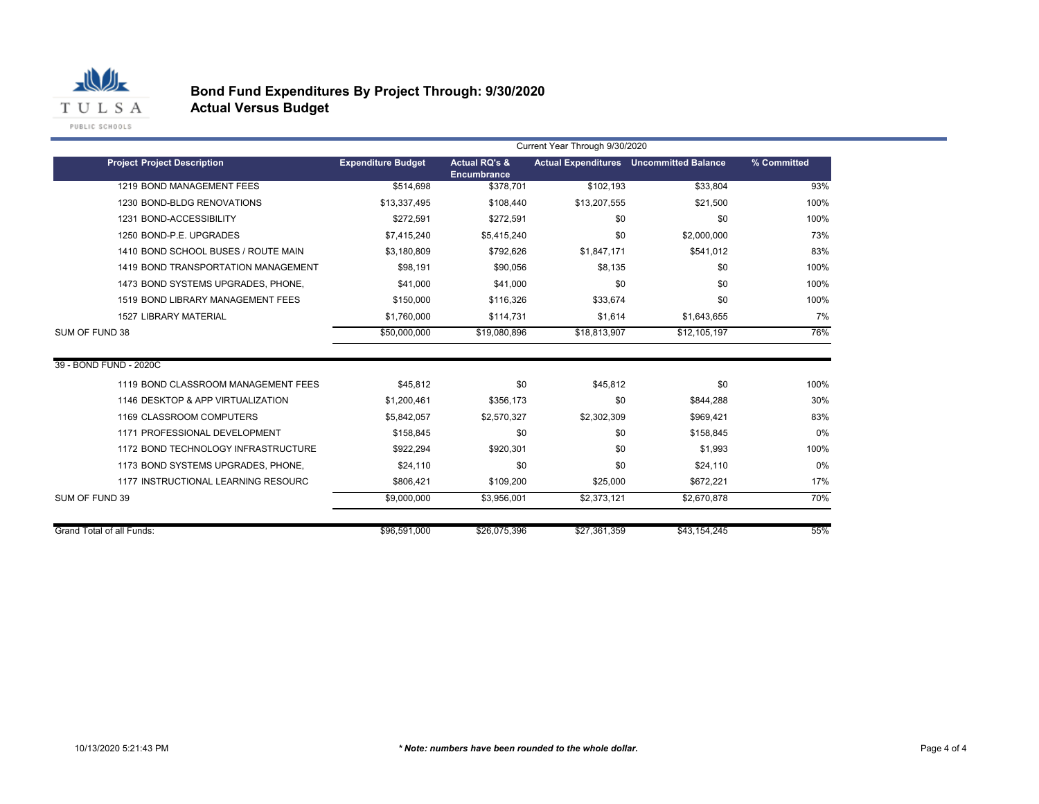

|                                     | Current Year Through 9/30/2020 |                                                |              |                                                |             |  |
|-------------------------------------|--------------------------------|------------------------------------------------|--------------|------------------------------------------------|-------------|--|
| <b>Project Project Description</b>  | <b>Expenditure Budget</b>      | <b>Actual RQ's &amp;</b><br><b>Encumbrance</b> |              | <b>Actual Expenditures</b> Uncommitted Balance | % Committed |  |
| 1219 BOND MANAGEMENT FEES           | \$514.698                      | \$378.701                                      | \$102.193    | \$33,804                                       | 93%         |  |
| 1230 BOND-BLDG RENOVATIONS          | \$13,337,495                   | \$108,440                                      | \$13,207,555 | \$21,500                                       | 100%        |  |
| 1231 BOND-ACCESSIBILITY             | \$272.591                      | \$272,591                                      | \$0          | \$0                                            | 100%        |  |
| 1250 BOND-P.E. UPGRADES             | \$7,415,240                    | \$5,415,240                                    | \$0          | \$2,000,000                                    | 73%         |  |
| 1410 BOND SCHOOL BUSES / ROUTE MAIN | \$3,180,809                    | \$792,626                                      | \$1.847.171  | \$541,012                                      | 83%         |  |
| 1419 BOND TRANSPORTATION MANAGEMENT | \$98.191                       | \$90.056                                       | \$8.135      | \$0                                            | 100%        |  |
| 1473 BOND SYSTEMS UPGRADES, PHONE,  | \$41,000                       | \$41,000                                       | \$0          | \$0                                            | 100%        |  |
| 1519 BOND LIBRARY MANAGEMENT FEES   | \$150,000                      | \$116,326                                      | \$33,674     | \$0                                            | 100%        |  |
| <b>1527 LIBRARY MATERIAL</b>        | \$1,760,000                    | \$114,731                                      | \$1,614      | \$1,643,655                                    | 7%          |  |
| SUM OF FUND 38                      | \$50,000,000                   | \$19,080,896                                   | \$18,813,907 | \$12.105.197                                   | 76%         |  |
| 39 - BOND FUND - 2020C              |                                |                                                |              |                                                |             |  |
| 1119 BOND CLASSROOM MANAGEMENT FEES | \$45.812                       | \$0                                            | \$45,812     | \$0                                            | 100%        |  |
| 1146 DESKTOP & APP VIRTUALIZATION   | \$1,200,461                    | \$356,173                                      | \$0          | \$844,288                                      | 30%         |  |
| 1169 CLASSROOM COMPUTERS            | \$5,842,057                    | \$2,570,327                                    | \$2,302,309  | \$969,421                                      | 83%         |  |
| 1171 PROFESSIONAL DEVELOPMENT       | \$158.845                      | \$0                                            | \$0          | \$158.845                                      | 0%          |  |
| 1172 BOND TECHNOLOGY INFRASTRUCTURE | \$922,294                      | \$920,301                                      | \$0          | \$1,993                                        | 100%        |  |
| 1173 BOND SYSTEMS UPGRADES, PHONE,  | \$24.110                       | \$0                                            | \$0          | \$24,110                                       | 0%          |  |
| 1177 INSTRUCTIONAL LEARNING RESOURC | \$806,421                      | \$109,200                                      | \$25,000     | \$672,221                                      | 17%         |  |
| SUM OF FUND 39                      | \$9,000,000                    | \$3,956,001                                    | \$2,373,121  | \$2,670,878                                    | 70%         |  |
|                                     |                                |                                                |              |                                                |             |  |
| Grand Total of all Funds:           | \$96,591,000                   | \$26,075,396                                   | \$27,361,359 | \$43,154,245                                   | 55%         |  |